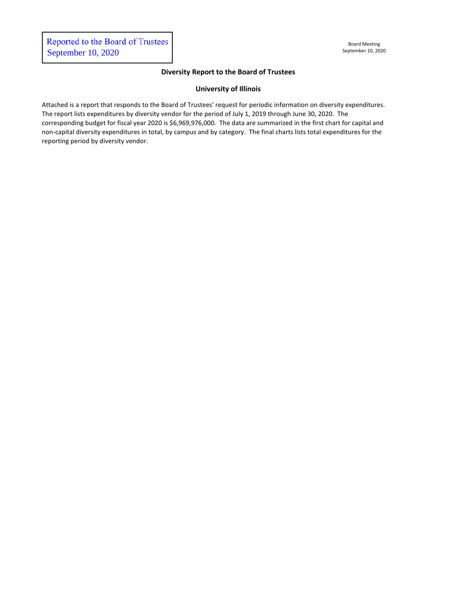# **Diversity Report to the Board of Trustees**

## **University of Illinois**

Attached is a report that responds to the Board of Trustees' request for periodic information on diversity expenditures. The report lists expenditures by diversity vendor for the period of July 1, 2019 through June 30, 2020. The corresponding budget for fiscal year 2020 is \$6,969,976,000. The data are summarized in the first chart for capital and non-capital diversity expenditures in total, by campus and by category. The final charts lists total expenditures for the reporting period by diversity vendor.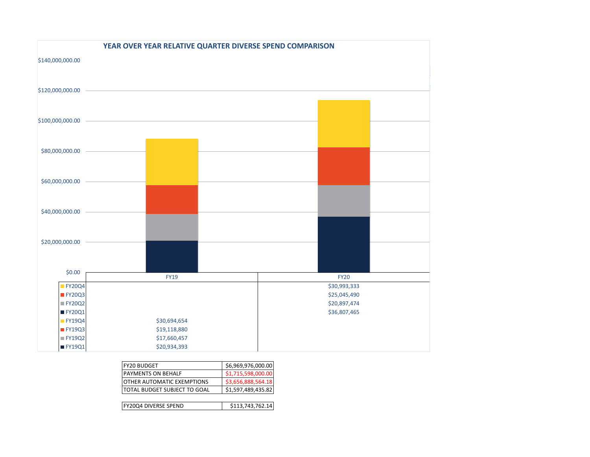

| <b>FY20 BUDGET</b>           | \$6,969,976,000.00 |
|------------------------------|--------------------|
| <b>PAYMENTS ON BEHALF</b>    | \$1,715,598,000.00 |
| OTHER AUTOMATIC EXEMPTIONS   | \$3,656,888,564.18 |
| TOTAL BUDGET SUBJECT TO GOAL | \$1,597,489,435.82 |
|                              |                    |
| <b>FY20Q4 DIVERSE SPEND</b>  | \$113,743,762.14   |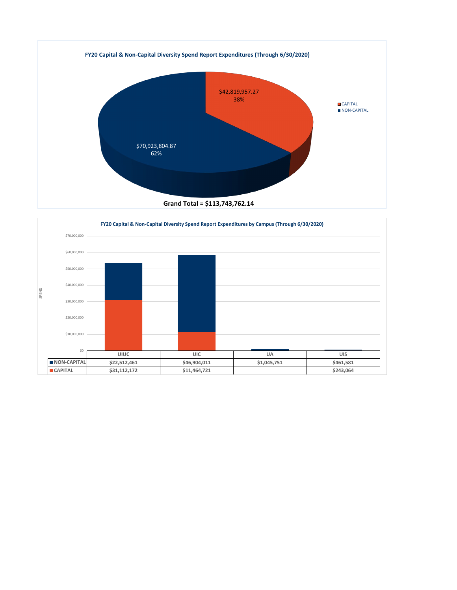

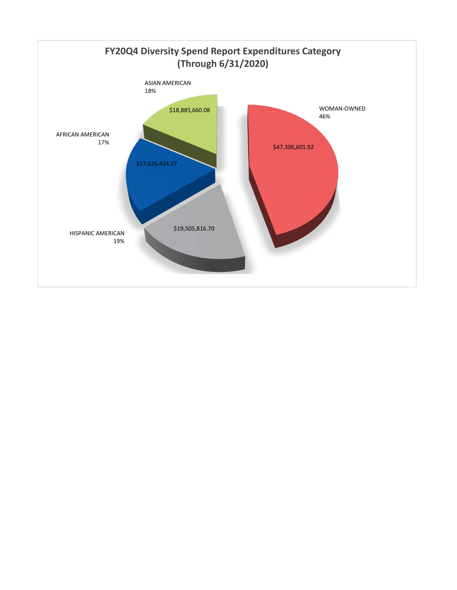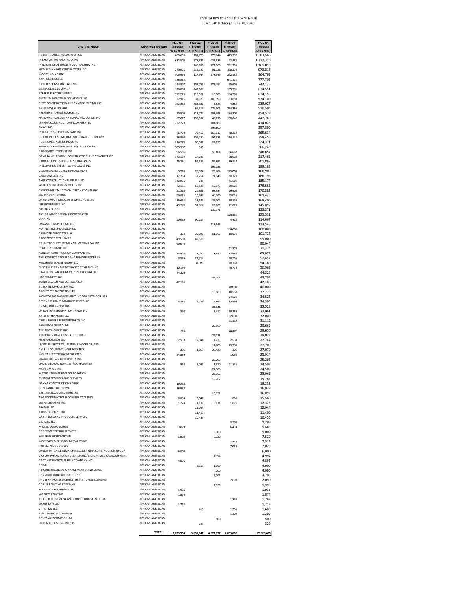| AFRICAN AMERICAN<br>609,656<br>181,729<br>178,644<br>413,537<br>1,383,566<br>IP EXCAVATING AND TRUCKING<br>AFRICAN AMERICAN<br>682,503<br>178,389<br>428,936<br>22,482<br>1,312,310<br>INTERNATIONAL QUALITY CONTRACTING INC<br>AFRICAN AMERICAN<br>721,568<br>1,161,810<br>148.853<br>291,389<br>NEW BEGINNINGS CONTRACTORS INC<br>AFRICAN AMERICAN<br>973,816<br>240,975<br>212,642<br>91,921<br>428,278<br>MOODY NOLAN INC<br><b>AFRICAN AMERICAN</b><br>864,769<br>305,956<br>117,984<br>178,646<br>262,182<br>KAP HOLDINGS LLC<br>AFRICAN AMERICAN<br>777,703<br>136,532<br>641.171<br>F J ROBINSONS CONTRACTING<br>AFRICAN AMERICAN<br>194,307<br>742,125<br>108,755<br>373,454<br>65,609<br>AFRICAN AMERICAN<br>SIERRA GLASS COMPANY<br>126,000<br>442,800<br>105,751<br>674,551<br><b>EXPRESS ELECTRIC SUPPLY</b><br>AFRICAN AMERICAN<br>371,225<br>119,361<br>674,155<br>164,760<br>18,809<br>SUPPLIED INDUSTRIAL SOLUTIONS INC<br>AFRICAN AMERICAN<br>409,996<br>574,100<br>72,915<br>37,329<br>53,859<br>ELETE CONSTRUCTION AND ENVIRONMENTAL INC<br>AFRICAN AMERICAN<br>192,365<br>338,552<br>539,627<br>3,825<br>4,885<br>ANCHOR STAFFING INC<br>AFRICAN AMERICAN<br>510,504<br>69,317<br>176.901<br>264,286<br>PREMIER STAFFING SOURCE INC<br>AFRICAN AMERICAN<br>454,573<br>50,500<br>117,774<br>101.993<br>184,307<br>NATIONAL HVACDBA NATIONAL INSULATION INC<br><b>AFRICAN AMERICAN</b><br>67,617<br>139,557<br>49,738<br>190,847<br>447,760<br>UJAMAA CONSTRUCTION INCORPORATED<br>AFRICAN AMERICAN<br>232,220<br>181,808<br>414,028<br><b>AVIAN INC</b><br>AFRICAN AMERICAN<br>397,800<br>397,800<br>INTER-CITY SUPPLY COMPANY INC.<br>AFRICAN AMERICAN<br>76,779<br>75,452<br>165,135<br>48,269<br>365,634<br>ELECTRONIC KNOWLEDGE INTERCHANGE COMPANY<br>AFRICAN AMERICAN<br>36,390<br>108,290<br>99,635<br>114,140<br>358,455<br>PUGH JONES AND JOHNSON PC<br>AFRICAN AMERICAN<br>324,371<br>214,770<br>85,342<br>24,259<br>MILHOUSE ENGINEERING CONSTRUCTION INC<br>AFRICAN AMERICAN<br>305,907<br>306,240<br>333<br><b>BROOK ARCHITECTURE INC.</b><br>AFRICAN AMERICAN<br>96,586<br>53,404<br>96,667<br>246,657<br>DAVIS DAVIS GENERAL CONSTRUCTION AND CONCRETE INC<br>AFRICAN AMERICAN<br>142,194<br>17.249<br>58,020<br>217,463<br>PRODUCTION DISTRIBUTION COMPANIES<br>AFRICAN AMERICAN<br>25,291<br>54,537<br>82,894<br>39,147<br>201,869<br>INTEGRATING GREEN TECHNOLOGIES INC.<br><b>AFRICAN AMERICAN</b><br>199,183<br>199,183<br>ELECTRICAL RESOURCE MANAGEMENT<br>AFRICAN AMERICAN<br>188,908<br>23,784<br>9,210<br>26.907<br>129,008<br>CALL FLAWLESS INC<br>AFRICAN AMERICAN<br>17,264<br>17,264<br>71,348<br>80,320<br>186,196<br>TANK CONSTRUCTION SUPPLIES LLC<br>AFRICAN AMERICAN<br>142,956<br>537<br>41,681<br>185,174<br>WEBB ENGINEERING SERVICES INC<br>AFRICAN AMERICAN<br>178,688<br>10.976<br>39,026<br>72,161<br>56.525<br>ENVIRONMENTAL DESIGN INTERNATIONAL INC<br>AFRICAN AMERICAN<br>68,534<br>170,882<br>51.810<br>20,631<br>29.908<br><b>SLG INNOVATION INC</b><br><b>AFRICAN AMERICAN</b><br>36,676<br>18,846<br>48,888<br>65,016<br>169,426<br>DAVID MASON ASSOCIATES OF ILLINOIS LTD<br>AFRICAN AMERICAN<br>168,406<br>18,529<br>23,102<br>10.123<br>116,652<br><b>JSR ENTERPRISES INC</b><br>AFRICAN AMERICAN<br>145,092<br>49,749<br>57,614<br>26,709<br>11,020<br><b>DESIGN AIR INC</b><br>AFRICAN AMERICAN<br>133,371<br>133,371<br>TAYLOR MADE DESIGN INCORPORATED<br>AFRICAN AMERICAN<br>125,531<br>125,531<br><b>VEYA INC</b><br>AFRICAN AMERICAN<br>114,667<br>20.035<br>90,207<br>4,426<br>DYNAMIX ENGINEERING LTD<br><b>AFRICAN AMERICAN</b><br>113,546<br>113,546<br>MATRIX SYSTEMS GROUP INC<br>AFRICAN AMERICAN<br>108,000<br>108,000<br>ARDMORE ASSOCIATES LLC<br>AFRICAN AMERICAN<br>101,726<br>364<br>39,025<br>51,363<br>10,975<br>AFRICAN AMERICAN<br><b>BRIDGEPORT STEEL SALES</b><br>49,500<br>99,000<br>49,500<br>CK UNITED SHEET METAL AND MECHANICAL INC<br>AFRICAN AMERICAN<br>90,044<br>90,044<br>JC GROUP ILLINOIS LLC<br>AFRICAN AMERICAN<br>71,374<br>71,374<br>ASHLAUR CONSTRUCTION COMPANY INC<br>AFRICAN AMERICAN<br>14,544<br>3,750<br>8,850<br>37,935<br>65,079<br>THE RODERICK GROUP DBA ARDMORE RODERICK<br>AFRICAN AMERICAN<br>8,974<br>27,718<br>20,965<br>57,657<br>MILLER ENTERPRISE GROUP LLC<br>AFRICAN AMERICAN<br>54,180<br>34,020<br>20,160<br>DUST EM CLEAN MAINTENANCE COMPANY INC<br>AFRICAN AMERICAN<br>10,194<br>40,774<br>50,968<br>BRAILSFORD AND DUNLAVEY INCORPORATED<br>AFRICAN AMERICAN<br>44,328<br>44,328<br>IMC CONNECT INC<br>AFRICAN AMERICAN<br>43,708<br>43.708<br>ZUBER LAWLER AND DEL DUCA LLP<br>AFRICAN AMERICAN<br>42,185<br>42,185<br><b>BURCHELL UPHOLSTERY INC</b><br><b>AFRICAN AMERICAN</b><br>40,000<br>40,000<br>ARCHITECTS ENTERPRISE LTD<br>AFRICAN AMERICAN<br>37,219<br>18,669<br>18,550<br>MONITORING MANAGEMENT INC DBA NETFLOOR USA<br>AFRICAN AMERICAN<br>34,525<br>34,525<br>BEYOND CLEAN CLEANING SERVICES LLC<br>AFRICAN AMERICAN<br>4,288<br>4,288<br>12,864<br>12,864<br>34,304<br>POWER ONE SUPPLY INC<br>AFRICAN AMERICAN<br>33,528<br>33.528<br>URBAN TRANSFORMATION FARMS INC<br>AFRICAN AMERICAN<br>32,061<br>398<br>1,412<br>30,252<br>YATES ENTERPRISES LLC<br><b>AFRICAN AMERICAN</b><br>32,000<br>32,000<br>CROSS RHODES REPROGRAPHICS INC<br>AFRICAN AMERICAN<br>31,112<br>31.112<br>TABITHA VENTURES INC<br>AFRICAN AMERICAN<br>29,669<br>29,669<br>THE BOWA GROUP INC.<br>AFRICAN AMERICAN<br>28,897<br>29,656<br>758<br>THORNTON RAVE CONSTRUCTION LLC<br>AFRICAN AMERICAN<br>29,023<br>29.023<br>NEAL AND LEROY LLC<br>AFRICAN AMERICAN<br>27,744<br>2,538<br>17,944<br>4,725<br>2,538<br>LIVEWIRE ELECTRICAL SYSTEMS INCORPORATED<br>AFRICAN AMERICAN<br>11,708<br>15,998<br>27,705<br>AM BUS COMPANY INCORPORATED<br>AFRICAN AMERICAN<br>27,070<br>25,420<br>295<br>1.050<br>305<br>MOLITE ELECTRIC INCORPORATED<br>AFRICAN AMERICAN<br>25,914<br>24,859<br>1,055<br>SHAWN BROWN ENTERPRISES INC<br><b>AFRICAN AMERICAN</b><br>25,295<br>25.295<br>OMAR MEDICAL SUPPLIES INCORPORATED<br>AFRICAN AMERICAN<br>510<br>1,067<br>1,870<br>21,146<br>24,593<br>MORCOM N V INC<br><b>AFRICAN AMERICAN</b><br>24,500<br>24,500<br>MATRIX ENGINEERING CORPORATION<br><b>AFRICAN AMFRICAN</b><br>23.066<br>23.066<br><b>CUSTOM RED IRON AND SERVICES</b><br>AFRICAN AMERICAN<br>19,262<br>19,262<br>NAMAT CONSTRUCTION CO INC<br>AFRICAN AMERICAN<br>19,252<br>19,252<br><b>ROYE IANITORIAL SERVICE</b><br><b>AFRICAN AMERICAN</b><br>16,938<br>16,938<br><b>B2B STRATEGIC SOLUTIONS INC</b><br>AFRICAN AMERICAN<br>16,092<br>16,092<br>THG FOODS INC/FOUR COURSES CATERING<br>AFRICAN AMERICAN<br>15,569<br>6,864<br>8.044<br>660<br>WE'RE CLEANING INC<br><b>AFRICAN AMERICAN</b><br>1,224<br>4,199<br>5,831<br>1,071<br>12,325<br><b>ASAPRO LLC</b><br>AFRICAN AMERICAN<br>12,044<br>12,044<br>AFRICAN AMERICAN<br>TRIMS TRUCKING INC<br>11,400<br>11,400<br><b>GARTH BUILDING PRODUCTS SERVICES</b><br>AFRICAN AMERICAN<br>10,455<br>10,455<br>EX3 LABS LLC<br>AFRICAN AMERICAN<br>9,700<br>9,700<br>MYLEER CORPORATION<br>AFRICAN AMERICAN<br>9,462<br>6,434<br>3,028<br>CODE ENGINEERING SERVICES<br>AFRICAN AMERICAN<br>9,000<br>9,000<br>MILLER BUILDING GROUP<br>AFRICAN AMERICAN<br>7,520<br>1,800<br>5,720<br>MCKISSACK MCKISSACK MIDWEST INC<br>AFRICAN AMERICAN<br>7,518<br>7,518<br>PRO BIZ PRODUCTS LLC<br>AFRICAN AMERICAN<br>7,023<br>7,023<br>GRIGGS MITCHELL ALMA OF IL LLC DBA GMA CONSTRUCTION GROUP<br>AFRICAN AMERICAN<br>6,000<br>6,000<br>VICTORY PHARMACY OF DECATUR INC/VICTORY MEDICAL EQUIPMENT<br>AFRICAN AMERICAN<br>4,994<br>4.994<br>CG CONSTRUCTION SUPPLY COMPANY INC<br>AFRICAN AMERICAN<br>4,896<br>4,896<br>AFRICAN AMERICAN<br>POWELL III<br>2,500<br>1,500<br>4,000<br>RINGOLD FINANCIAL MANAGEMENT SERVICES INC<br>AFRICAN AMERICAN<br>4,000<br>4,000<br>CONSTRUCTION CAD SOLUTIONS<br>AFRICAN AMERICAN<br>3,705<br>3,705<br>JMC SERV INC/SERVICEMASTER JANITORIAL CLEANING<br>AFRICAN AMERICAN<br>2,090<br>2,090<br>ADAMS PAINTING COMPANY<br>AFRICAN AMERICAN<br>1,998<br>1,998<br>M CANNON ROOFING CO LLC<br>AFRICAN AMERICAN<br>1,935<br>1,935<br>WORLD'S PRINTING<br>AFRICAN AMERICAN<br>1,874<br>1,874<br>AGILE PROCUREMENT AND CONSULTING SERVICES LLC<br>AFRICAN AMERICAN<br>1,768<br>1,768<br><b>GRANT LAW LLC</b><br>AFRICAN AMERICAN<br>1,713<br>1,713<br>STITCH ME LLC<br>AFRICAN AMERICAN<br>415<br>1,265<br>1,680<br>EMED MEDICAL COMPANY<br>AFRICAN AMERICAN<br>1,209<br>1,209<br>BJ'S TRANSPORTATION INC<br>AFRICAN AMERICAN<br>500<br>500<br>HILTON PUBLISHING INC/HPC<br>AFRICAN AMERICAN<br>320<br>320<br><b>TOTAL</b><br>4,877,077 4,603,807<br>17,626,425<br>5,056,500<br>3,089,042 | <b>VENDOR NAME</b>             | <b>Minority-Category</b> | <b>FY20 Q1</b><br>(Through<br>9/30/2019) | <b>FY20 Q2</b><br>(Through<br>12/31/2019) | FY20 Q3<br>(Through<br>3/31/2020) | <b>FY20 Q4</b><br>(Through<br>6/30/2020 | <b>FY20 Q4</b><br>(Through<br>6/30/2020 |
|------------------------------------------------------------------------------------------------------------------------------------------------------------------------------------------------------------------------------------------------------------------------------------------------------------------------------------------------------------------------------------------------------------------------------------------------------------------------------------------------------------------------------------------------------------------------------------------------------------------------------------------------------------------------------------------------------------------------------------------------------------------------------------------------------------------------------------------------------------------------------------------------------------------------------------------------------------------------------------------------------------------------------------------------------------------------------------------------------------------------------------------------------------------------------------------------------------------------------------------------------------------------------------------------------------------------------------------------------------------------------------------------------------------------------------------------------------------------------------------------------------------------------------------------------------------------------------------------------------------------------------------------------------------------------------------------------------------------------------------------------------------------------------------------------------------------------------------------------------------------------------------------------------------------------------------------------------------------------------------------------------------------------------------------------------------------------------------------------------------------------------------------------------------------------------------------------------------------------------------------------------------------------------------------------------------------------------------------------------------------------------------------------------------------------------------------------------------------------------------------------------------------------------------------------------------------------------------------------------------------------------------------------------------------------------------------------------------------------------------------------------------------------------------------------------------------------------------------------------------------------------------------------------------------------------------------------------------------------------------------------------------------------------------------------------------------------------------------------------------------------------------------------------------------------------------------------------------------------------------------------------------------------------------------------------------------------------------------------------------------------------------------------------------------------------------------------------------------------------------------------------------------------------------------------------------------------------------------------------------------------------------------------------------------------------------------------------------------------------------------------------------------------------------------------------------------------------------------------------------------------------------------------------------------------------------------------------------------------------------------------------------------------------------------------------------------------------------------------------------------------------------------------------------------------------------------------------------------------------------------------------------------------------------------------------------------------------------------------------------------------------------------------------------------------------------------------------------------------------------------------------------------------------------------------------------------------------------------------------------------------------------------------------------------------------------------------------------------------------------------------------------------------------------------------------------------------------------------------------------------------------------------------------------------------------------------------------------------------------------------------------------------------------------------------------------------------------------------------------------------------------------------------------------------------------------------------------------------------------------------------------------------------------------------------------------------------------------------------------------------------------------------------------------------------------------------------------------------------------------------------------------------------------------------------------------------------------------------------------------------------------------------------------------------------------------------------------------------------------------------------------------------------------------------------------------------------------------------------------------------------------------------------------------------------------------------------------------------------------------------------------------------------------------------------------------------------------------------------------------------------------------------------------------------------------------------------------------------------------------------------------------------------------------------------------------------------------------------------------------------------------------------------------------------------------------------------------------------------------------------------------------------------------------------------------------------------------------------------------------------------------------------------------------------------------------------------------------------------------------------------------------------------------------------------------------------------------------------------------------------------------------------------------------------------------------------------------------------------------------------------------------------------------------------------------------------------------------------------------------------------------------------------------------------------------------------------------------------------------------------------------------------------------------------------------------------------------------------------------------------------------------------------------------------------------------------------------------------------------------------------------------------------------------------------------------------------------------------------------------------------------------------------------------------------------------------------------------------------------------------------------------------------------------------------------------------------------------------------------------------------------------------------------------------------------------------------------------------------------------------------------------------------------------------------------------------------------------------------------------------------------------------------------------------------------------------------------------------------------------------------------------------------------------------------------------------------------------------------------------------------------------------------------------------------------------------------------------------------------------------------------------------------------------------------------------------------------------------------------------------------------------------------------------------------------------------------------|--------------------------------|--------------------------|------------------------------------------|-------------------------------------------|-----------------------------------|-----------------------------------------|-----------------------------------------|
|                                                                                                                                                                                                                                                                                                                                                                                                                                                                                                                                                                                                                                                                                                                                                                                                                                                                                                                                                                                                                                                                                                                                                                                                                                                                                                                                                                                                                                                                                                                                                                                                                                                                                                                                                                                                                                                                                                                                                                                                                                                                                                                                                                                                                                                                                                                                                                                                                                                                                                                                                                                                                                                                                                                                                                                                                                                                                                                                                                                                                                                                                                                                                                                                                                                                                                                                                                                                                                                                                                                                                                                                                                                                                                                                                                                                                                                                                                                                                                                                                                                                                                                                                                                                                                                                                                                                                                                                                                                                                                                                                                                                                                                                                                                                                                                                                                                                                                                                                                                                                                                                                                                                                                                                                                                                                                                                                                                                                                                                                                                                                                                                                                                                                                                                                                                                                                                                                                                                                                                                                                                                                                                                                                                                                                                                                                                                                                                                                                                                                                                                                                                                                                                                                                                                                                                                                                                                                                                                                                                                                                                                                                                                                                                                                                                                                                                                                                                                                                                                                                                                                                                                                                                                                                                                                                                                                                                                                                                                                                                                                                                                                                                                                                                                                                                                                                                                                                                                                                                                                                                                                                                                                                                                                                            | ROBERT L MILLER ASSOCIATES INC |                          |                                          |                                           |                                   |                                         |                                         |
|                                                                                                                                                                                                                                                                                                                                                                                                                                                                                                                                                                                                                                                                                                                                                                                                                                                                                                                                                                                                                                                                                                                                                                                                                                                                                                                                                                                                                                                                                                                                                                                                                                                                                                                                                                                                                                                                                                                                                                                                                                                                                                                                                                                                                                                                                                                                                                                                                                                                                                                                                                                                                                                                                                                                                                                                                                                                                                                                                                                                                                                                                                                                                                                                                                                                                                                                                                                                                                                                                                                                                                                                                                                                                                                                                                                                                                                                                                                                                                                                                                                                                                                                                                                                                                                                                                                                                                                                                                                                                                                                                                                                                                                                                                                                                                                                                                                                                                                                                                                                                                                                                                                                                                                                                                                                                                                                                                                                                                                                                                                                                                                                                                                                                                                                                                                                                                                                                                                                                                                                                                                                                                                                                                                                                                                                                                                                                                                                                                                                                                                                                                                                                                                                                                                                                                                                                                                                                                                                                                                                                                                                                                                                                                                                                                                                                                                                                                                                                                                                                                                                                                                                                                                                                                                                                                                                                                                                                                                                                                                                                                                                                                                                                                                                                                                                                                                                                                                                                                                                                                                                                                                                                                                                                                            |                                |                          |                                          |                                           |                                   |                                         |                                         |
|                                                                                                                                                                                                                                                                                                                                                                                                                                                                                                                                                                                                                                                                                                                                                                                                                                                                                                                                                                                                                                                                                                                                                                                                                                                                                                                                                                                                                                                                                                                                                                                                                                                                                                                                                                                                                                                                                                                                                                                                                                                                                                                                                                                                                                                                                                                                                                                                                                                                                                                                                                                                                                                                                                                                                                                                                                                                                                                                                                                                                                                                                                                                                                                                                                                                                                                                                                                                                                                                                                                                                                                                                                                                                                                                                                                                                                                                                                                                                                                                                                                                                                                                                                                                                                                                                                                                                                                                                                                                                                                                                                                                                                                                                                                                                                                                                                                                                                                                                                                                                                                                                                                                                                                                                                                                                                                                                                                                                                                                                                                                                                                                                                                                                                                                                                                                                                                                                                                                                                                                                                                                                                                                                                                                                                                                                                                                                                                                                                                                                                                                                                                                                                                                                                                                                                                                                                                                                                                                                                                                                                                                                                                                                                                                                                                                                                                                                                                                                                                                                                                                                                                                                                                                                                                                                                                                                                                                                                                                                                                                                                                                                                                                                                                                                                                                                                                                                                                                                                                                                                                                                                                                                                                                                                            |                                |                          |                                          |                                           |                                   |                                         |                                         |
|                                                                                                                                                                                                                                                                                                                                                                                                                                                                                                                                                                                                                                                                                                                                                                                                                                                                                                                                                                                                                                                                                                                                                                                                                                                                                                                                                                                                                                                                                                                                                                                                                                                                                                                                                                                                                                                                                                                                                                                                                                                                                                                                                                                                                                                                                                                                                                                                                                                                                                                                                                                                                                                                                                                                                                                                                                                                                                                                                                                                                                                                                                                                                                                                                                                                                                                                                                                                                                                                                                                                                                                                                                                                                                                                                                                                                                                                                                                                                                                                                                                                                                                                                                                                                                                                                                                                                                                                                                                                                                                                                                                                                                                                                                                                                                                                                                                                                                                                                                                                                                                                                                                                                                                                                                                                                                                                                                                                                                                                                                                                                                                                                                                                                                                                                                                                                                                                                                                                                                                                                                                                                                                                                                                                                                                                                                                                                                                                                                                                                                                                                                                                                                                                                                                                                                                                                                                                                                                                                                                                                                                                                                                                                                                                                                                                                                                                                                                                                                                                                                                                                                                                                                                                                                                                                                                                                                                                                                                                                                                                                                                                                                                                                                                                                                                                                                                                                                                                                                                                                                                                                                                                                                                                                                            |                                |                          |                                          |                                           |                                   |                                         |                                         |
|                                                                                                                                                                                                                                                                                                                                                                                                                                                                                                                                                                                                                                                                                                                                                                                                                                                                                                                                                                                                                                                                                                                                                                                                                                                                                                                                                                                                                                                                                                                                                                                                                                                                                                                                                                                                                                                                                                                                                                                                                                                                                                                                                                                                                                                                                                                                                                                                                                                                                                                                                                                                                                                                                                                                                                                                                                                                                                                                                                                                                                                                                                                                                                                                                                                                                                                                                                                                                                                                                                                                                                                                                                                                                                                                                                                                                                                                                                                                                                                                                                                                                                                                                                                                                                                                                                                                                                                                                                                                                                                                                                                                                                                                                                                                                                                                                                                                                                                                                                                                                                                                                                                                                                                                                                                                                                                                                                                                                                                                                                                                                                                                                                                                                                                                                                                                                                                                                                                                                                                                                                                                                                                                                                                                                                                                                                                                                                                                                                                                                                                                                                                                                                                                                                                                                                                                                                                                                                                                                                                                                                                                                                                                                                                                                                                                                                                                                                                                                                                                                                                                                                                                                                                                                                                                                                                                                                                                                                                                                                                                                                                                                                                                                                                                                                                                                                                                                                                                                                                                                                                                                                                                                                                                                                            |                                |                          |                                          |                                           |                                   |                                         |                                         |
|                                                                                                                                                                                                                                                                                                                                                                                                                                                                                                                                                                                                                                                                                                                                                                                                                                                                                                                                                                                                                                                                                                                                                                                                                                                                                                                                                                                                                                                                                                                                                                                                                                                                                                                                                                                                                                                                                                                                                                                                                                                                                                                                                                                                                                                                                                                                                                                                                                                                                                                                                                                                                                                                                                                                                                                                                                                                                                                                                                                                                                                                                                                                                                                                                                                                                                                                                                                                                                                                                                                                                                                                                                                                                                                                                                                                                                                                                                                                                                                                                                                                                                                                                                                                                                                                                                                                                                                                                                                                                                                                                                                                                                                                                                                                                                                                                                                                                                                                                                                                                                                                                                                                                                                                                                                                                                                                                                                                                                                                                                                                                                                                                                                                                                                                                                                                                                                                                                                                                                                                                                                                                                                                                                                                                                                                                                                                                                                                                                                                                                                                                                                                                                                                                                                                                                                                                                                                                                                                                                                                                                                                                                                                                                                                                                                                                                                                                                                                                                                                                                                                                                                                                                                                                                                                                                                                                                                                                                                                                                                                                                                                                                                                                                                                                                                                                                                                                                                                                                                                                                                                                                                                                                                                                                            |                                |                          |                                          |                                           |                                   |                                         |                                         |
|                                                                                                                                                                                                                                                                                                                                                                                                                                                                                                                                                                                                                                                                                                                                                                                                                                                                                                                                                                                                                                                                                                                                                                                                                                                                                                                                                                                                                                                                                                                                                                                                                                                                                                                                                                                                                                                                                                                                                                                                                                                                                                                                                                                                                                                                                                                                                                                                                                                                                                                                                                                                                                                                                                                                                                                                                                                                                                                                                                                                                                                                                                                                                                                                                                                                                                                                                                                                                                                                                                                                                                                                                                                                                                                                                                                                                                                                                                                                                                                                                                                                                                                                                                                                                                                                                                                                                                                                                                                                                                                                                                                                                                                                                                                                                                                                                                                                                                                                                                                                                                                                                                                                                                                                                                                                                                                                                                                                                                                                                                                                                                                                                                                                                                                                                                                                                                                                                                                                                                                                                                                                                                                                                                                                                                                                                                                                                                                                                                                                                                                                                                                                                                                                                                                                                                                                                                                                                                                                                                                                                                                                                                                                                                                                                                                                                                                                                                                                                                                                                                                                                                                                                                                                                                                                                                                                                                                                                                                                                                                                                                                                                                                                                                                                                                                                                                                                                                                                                                                                                                                                                                                                                                                                                                            |                                |                          |                                          |                                           |                                   |                                         |                                         |
|                                                                                                                                                                                                                                                                                                                                                                                                                                                                                                                                                                                                                                                                                                                                                                                                                                                                                                                                                                                                                                                                                                                                                                                                                                                                                                                                                                                                                                                                                                                                                                                                                                                                                                                                                                                                                                                                                                                                                                                                                                                                                                                                                                                                                                                                                                                                                                                                                                                                                                                                                                                                                                                                                                                                                                                                                                                                                                                                                                                                                                                                                                                                                                                                                                                                                                                                                                                                                                                                                                                                                                                                                                                                                                                                                                                                                                                                                                                                                                                                                                                                                                                                                                                                                                                                                                                                                                                                                                                                                                                                                                                                                                                                                                                                                                                                                                                                                                                                                                                                                                                                                                                                                                                                                                                                                                                                                                                                                                                                                                                                                                                                                                                                                                                                                                                                                                                                                                                                                                                                                                                                                                                                                                                                                                                                                                                                                                                                                                                                                                                                                                                                                                                                                                                                                                                                                                                                                                                                                                                                                                                                                                                                                                                                                                                                                                                                                                                                                                                                                                                                                                                                                                                                                                                                                                                                                                                                                                                                                                                                                                                                                                                                                                                                                                                                                                                                                                                                                                                                                                                                                                                                                                                                                                            |                                |                          |                                          |                                           |                                   |                                         |                                         |
|                                                                                                                                                                                                                                                                                                                                                                                                                                                                                                                                                                                                                                                                                                                                                                                                                                                                                                                                                                                                                                                                                                                                                                                                                                                                                                                                                                                                                                                                                                                                                                                                                                                                                                                                                                                                                                                                                                                                                                                                                                                                                                                                                                                                                                                                                                                                                                                                                                                                                                                                                                                                                                                                                                                                                                                                                                                                                                                                                                                                                                                                                                                                                                                                                                                                                                                                                                                                                                                                                                                                                                                                                                                                                                                                                                                                                                                                                                                                                                                                                                                                                                                                                                                                                                                                                                                                                                                                                                                                                                                                                                                                                                                                                                                                                                                                                                                                                                                                                                                                                                                                                                                                                                                                                                                                                                                                                                                                                                                                                                                                                                                                                                                                                                                                                                                                                                                                                                                                                                                                                                                                                                                                                                                                                                                                                                                                                                                                                                                                                                                                                                                                                                                                                                                                                                                                                                                                                                                                                                                                                                                                                                                                                                                                                                                                                                                                                                                                                                                                                                                                                                                                                                                                                                                                                                                                                                                                                                                                                                                                                                                                                                                                                                                                                                                                                                                                                                                                                                                                                                                                                                                                                                                                                                            |                                |                          |                                          |                                           |                                   |                                         |                                         |
|                                                                                                                                                                                                                                                                                                                                                                                                                                                                                                                                                                                                                                                                                                                                                                                                                                                                                                                                                                                                                                                                                                                                                                                                                                                                                                                                                                                                                                                                                                                                                                                                                                                                                                                                                                                                                                                                                                                                                                                                                                                                                                                                                                                                                                                                                                                                                                                                                                                                                                                                                                                                                                                                                                                                                                                                                                                                                                                                                                                                                                                                                                                                                                                                                                                                                                                                                                                                                                                                                                                                                                                                                                                                                                                                                                                                                                                                                                                                                                                                                                                                                                                                                                                                                                                                                                                                                                                                                                                                                                                                                                                                                                                                                                                                                                                                                                                                                                                                                                                                                                                                                                                                                                                                                                                                                                                                                                                                                                                                                                                                                                                                                                                                                                                                                                                                                                                                                                                                                                                                                                                                                                                                                                                                                                                                                                                                                                                                                                                                                                                                                                                                                                                                                                                                                                                                                                                                                                                                                                                                                                                                                                                                                                                                                                                                                                                                                                                                                                                                                                                                                                                                                                                                                                                                                                                                                                                                                                                                                                                                                                                                                                                                                                                                                                                                                                                                                                                                                                                                                                                                                                                                                                                                                                            |                                |                          |                                          |                                           |                                   |                                         |                                         |
|                                                                                                                                                                                                                                                                                                                                                                                                                                                                                                                                                                                                                                                                                                                                                                                                                                                                                                                                                                                                                                                                                                                                                                                                                                                                                                                                                                                                                                                                                                                                                                                                                                                                                                                                                                                                                                                                                                                                                                                                                                                                                                                                                                                                                                                                                                                                                                                                                                                                                                                                                                                                                                                                                                                                                                                                                                                                                                                                                                                                                                                                                                                                                                                                                                                                                                                                                                                                                                                                                                                                                                                                                                                                                                                                                                                                                                                                                                                                                                                                                                                                                                                                                                                                                                                                                                                                                                                                                                                                                                                                                                                                                                                                                                                                                                                                                                                                                                                                                                                                                                                                                                                                                                                                                                                                                                                                                                                                                                                                                                                                                                                                                                                                                                                                                                                                                                                                                                                                                                                                                                                                                                                                                                                                                                                                                                                                                                                                                                                                                                                                                                                                                                                                                                                                                                                                                                                                                                                                                                                                                                                                                                                                                                                                                                                                                                                                                                                                                                                                                                                                                                                                                                                                                                                                                                                                                                                                                                                                                                                                                                                                                                                                                                                                                                                                                                                                                                                                                                                                                                                                                                                                                                                                                                            |                                |                          |                                          |                                           |                                   |                                         |                                         |
|                                                                                                                                                                                                                                                                                                                                                                                                                                                                                                                                                                                                                                                                                                                                                                                                                                                                                                                                                                                                                                                                                                                                                                                                                                                                                                                                                                                                                                                                                                                                                                                                                                                                                                                                                                                                                                                                                                                                                                                                                                                                                                                                                                                                                                                                                                                                                                                                                                                                                                                                                                                                                                                                                                                                                                                                                                                                                                                                                                                                                                                                                                                                                                                                                                                                                                                                                                                                                                                                                                                                                                                                                                                                                                                                                                                                                                                                                                                                                                                                                                                                                                                                                                                                                                                                                                                                                                                                                                                                                                                                                                                                                                                                                                                                                                                                                                                                                                                                                                                                                                                                                                                                                                                                                                                                                                                                                                                                                                                                                                                                                                                                                                                                                                                                                                                                                                                                                                                                                                                                                                                                                                                                                                                                                                                                                                                                                                                                                                                                                                                                                                                                                                                                                                                                                                                                                                                                                                                                                                                                                                                                                                                                                                                                                                                                                                                                                                                                                                                                                                                                                                                                                                                                                                                                                                                                                                                                                                                                                                                                                                                                                                                                                                                                                                                                                                                                                                                                                                                                                                                                                                                                                                                                                                            |                                |                          |                                          |                                           |                                   |                                         |                                         |
|                                                                                                                                                                                                                                                                                                                                                                                                                                                                                                                                                                                                                                                                                                                                                                                                                                                                                                                                                                                                                                                                                                                                                                                                                                                                                                                                                                                                                                                                                                                                                                                                                                                                                                                                                                                                                                                                                                                                                                                                                                                                                                                                                                                                                                                                                                                                                                                                                                                                                                                                                                                                                                                                                                                                                                                                                                                                                                                                                                                                                                                                                                                                                                                                                                                                                                                                                                                                                                                                                                                                                                                                                                                                                                                                                                                                                                                                                                                                                                                                                                                                                                                                                                                                                                                                                                                                                                                                                                                                                                                                                                                                                                                                                                                                                                                                                                                                                                                                                                                                                                                                                                                                                                                                                                                                                                                                                                                                                                                                                                                                                                                                                                                                                                                                                                                                                                                                                                                                                                                                                                                                                                                                                                                                                                                                                                                                                                                                                                                                                                                                                                                                                                                                                                                                                                                                                                                                                                                                                                                                                                                                                                                                                                                                                                                                                                                                                                                                                                                                                                                                                                                                                                                                                                                                                                                                                                                                                                                                                                                                                                                                                                                                                                                                                                                                                                                                                                                                                                                                                                                                                                                                                                                                                                            |                                |                          |                                          |                                           |                                   |                                         |                                         |
|                                                                                                                                                                                                                                                                                                                                                                                                                                                                                                                                                                                                                                                                                                                                                                                                                                                                                                                                                                                                                                                                                                                                                                                                                                                                                                                                                                                                                                                                                                                                                                                                                                                                                                                                                                                                                                                                                                                                                                                                                                                                                                                                                                                                                                                                                                                                                                                                                                                                                                                                                                                                                                                                                                                                                                                                                                                                                                                                                                                                                                                                                                                                                                                                                                                                                                                                                                                                                                                                                                                                                                                                                                                                                                                                                                                                                                                                                                                                                                                                                                                                                                                                                                                                                                                                                                                                                                                                                                                                                                                                                                                                                                                                                                                                                                                                                                                                                                                                                                                                                                                                                                                                                                                                                                                                                                                                                                                                                                                                                                                                                                                                                                                                                                                                                                                                                                                                                                                                                                                                                                                                                                                                                                                                                                                                                                                                                                                                                                                                                                                                                                                                                                                                                                                                                                                                                                                                                                                                                                                                                                                                                                                                                                                                                                                                                                                                                                                                                                                                                                                                                                                                                                                                                                                                                                                                                                                                                                                                                                                                                                                                                                                                                                                                                                                                                                                                                                                                                                                                                                                                                                                                                                                                                                            |                                |                          |                                          |                                           |                                   |                                         |                                         |
|                                                                                                                                                                                                                                                                                                                                                                                                                                                                                                                                                                                                                                                                                                                                                                                                                                                                                                                                                                                                                                                                                                                                                                                                                                                                                                                                                                                                                                                                                                                                                                                                                                                                                                                                                                                                                                                                                                                                                                                                                                                                                                                                                                                                                                                                                                                                                                                                                                                                                                                                                                                                                                                                                                                                                                                                                                                                                                                                                                                                                                                                                                                                                                                                                                                                                                                                                                                                                                                                                                                                                                                                                                                                                                                                                                                                                                                                                                                                                                                                                                                                                                                                                                                                                                                                                                                                                                                                                                                                                                                                                                                                                                                                                                                                                                                                                                                                                                                                                                                                                                                                                                                                                                                                                                                                                                                                                                                                                                                                                                                                                                                                                                                                                                                                                                                                                                                                                                                                                                                                                                                                                                                                                                                                                                                                                                                                                                                                                                                                                                                                                                                                                                                                                                                                                                                                                                                                                                                                                                                                                                                                                                                                                                                                                                                                                                                                                                                                                                                                                                                                                                                                                                                                                                                                                                                                                                                                                                                                                                                                                                                                                                                                                                                                                                                                                                                                                                                                                                                                                                                                                                                                                                                                                                            |                                |                          |                                          |                                           |                                   |                                         |                                         |
|                                                                                                                                                                                                                                                                                                                                                                                                                                                                                                                                                                                                                                                                                                                                                                                                                                                                                                                                                                                                                                                                                                                                                                                                                                                                                                                                                                                                                                                                                                                                                                                                                                                                                                                                                                                                                                                                                                                                                                                                                                                                                                                                                                                                                                                                                                                                                                                                                                                                                                                                                                                                                                                                                                                                                                                                                                                                                                                                                                                                                                                                                                                                                                                                                                                                                                                                                                                                                                                                                                                                                                                                                                                                                                                                                                                                                                                                                                                                                                                                                                                                                                                                                                                                                                                                                                                                                                                                                                                                                                                                                                                                                                                                                                                                                                                                                                                                                                                                                                                                                                                                                                                                                                                                                                                                                                                                                                                                                                                                                                                                                                                                                                                                                                                                                                                                                                                                                                                                                                                                                                                                                                                                                                                                                                                                                                                                                                                                                                                                                                                                                                                                                                                                                                                                                                                                                                                                                                                                                                                                                                                                                                                                                                                                                                                                                                                                                                                                                                                                                                                                                                                                                                                                                                                                                                                                                                                                                                                                                                                                                                                                                                                                                                                                                                                                                                                                                                                                                                                                                                                                                                                                                                                                                                            |                                |                          |                                          |                                           |                                   |                                         |                                         |
|                                                                                                                                                                                                                                                                                                                                                                                                                                                                                                                                                                                                                                                                                                                                                                                                                                                                                                                                                                                                                                                                                                                                                                                                                                                                                                                                                                                                                                                                                                                                                                                                                                                                                                                                                                                                                                                                                                                                                                                                                                                                                                                                                                                                                                                                                                                                                                                                                                                                                                                                                                                                                                                                                                                                                                                                                                                                                                                                                                                                                                                                                                                                                                                                                                                                                                                                                                                                                                                                                                                                                                                                                                                                                                                                                                                                                                                                                                                                                                                                                                                                                                                                                                                                                                                                                                                                                                                                                                                                                                                                                                                                                                                                                                                                                                                                                                                                                                                                                                                                                                                                                                                                                                                                                                                                                                                                                                                                                                                                                                                                                                                                                                                                                                                                                                                                                                                                                                                                                                                                                                                                                                                                                                                                                                                                                                                                                                                                                                                                                                                                                                                                                                                                                                                                                                                                                                                                                                                                                                                                                                                                                                                                                                                                                                                                                                                                                                                                                                                                                                                                                                                                                                                                                                                                                                                                                                                                                                                                                                                                                                                                                                                                                                                                                                                                                                                                                                                                                                                                                                                                                                                                                                                                                                            |                                |                          |                                          |                                           |                                   |                                         |                                         |
|                                                                                                                                                                                                                                                                                                                                                                                                                                                                                                                                                                                                                                                                                                                                                                                                                                                                                                                                                                                                                                                                                                                                                                                                                                                                                                                                                                                                                                                                                                                                                                                                                                                                                                                                                                                                                                                                                                                                                                                                                                                                                                                                                                                                                                                                                                                                                                                                                                                                                                                                                                                                                                                                                                                                                                                                                                                                                                                                                                                                                                                                                                                                                                                                                                                                                                                                                                                                                                                                                                                                                                                                                                                                                                                                                                                                                                                                                                                                                                                                                                                                                                                                                                                                                                                                                                                                                                                                                                                                                                                                                                                                                                                                                                                                                                                                                                                                                                                                                                                                                                                                                                                                                                                                                                                                                                                                                                                                                                                                                                                                                                                                                                                                                                                                                                                                                                                                                                                                                                                                                                                                                                                                                                                                                                                                                                                                                                                                                                                                                                                                                                                                                                                                                                                                                                                                                                                                                                                                                                                                                                                                                                                                                                                                                                                                                                                                                                                                                                                                                                                                                                                                                                                                                                                                                                                                                                                                                                                                                                                                                                                                                                                                                                                                                                                                                                                                                                                                                                                                                                                                                                                                                                                                                                            |                                |                          |                                          |                                           |                                   |                                         |                                         |
|                                                                                                                                                                                                                                                                                                                                                                                                                                                                                                                                                                                                                                                                                                                                                                                                                                                                                                                                                                                                                                                                                                                                                                                                                                                                                                                                                                                                                                                                                                                                                                                                                                                                                                                                                                                                                                                                                                                                                                                                                                                                                                                                                                                                                                                                                                                                                                                                                                                                                                                                                                                                                                                                                                                                                                                                                                                                                                                                                                                                                                                                                                                                                                                                                                                                                                                                                                                                                                                                                                                                                                                                                                                                                                                                                                                                                                                                                                                                                                                                                                                                                                                                                                                                                                                                                                                                                                                                                                                                                                                                                                                                                                                                                                                                                                                                                                                                                                                                                                                                                                                                                                                                                                                                                                                                                                                                                                                                                                                                                                                                                                                                                                                                                                                                                                                                                                                                                                                                                                                                                                                                                                                                                                                                                                                                                                                                                                                                                                                                                                                                                                                                                                                                                                                                                                                                                                                                                                                                                                                                                                                                                                                                                                                                                                                                                                                                                                                                                                                                                                                                                                                                                                                                                                                                                                                                                                                                                                                                                                                                                                                                                                                                                                                                                                                                                                                                                                                                                                                                                                                                                                                                                                                                                                            |                                |                          |                                          |                                           |                                   |                                         |                                         |
|                                                                                                                                                                                                                                                                                                                                                                                                                                                                                                                                                                                                                                                                                                                                                                                                                                                                                                                                                                                                                                                                                                                                                                                                                                                                                                                                                                                                                                                                                                                                                                                                                                                                                                                                                                                                                                                                                                                                                                                                                                                                                                                                                                                                                                                                                                                                                                                                                                                                                                                                                                                                                                                                                                                                                                                                                                                                                                                                                                                                                                                                                                                                                                                                                                                                                                                                                                                                                                                                                                                                                                                                                                                                                                                                                                                                                                                                                                                                                                                                                                                                                                                                                                                                                                                                                                                                                                                                                                                                                                                                                                                                                                                                                                                                                                                                                                                                                                                                                                                                                                                                                                                                                                                                                                                                                                                                                                                                                                                                                                                                                                                                                                                                                                                                                                                                                                                                                                                                                                                                                                                                                                                                                                                                                                                                                                                                                                                                                                                                                                                                                                                                                                                                                                                                                                                                                                                                                                                                                                                                                                                                                                                                                                                                                                                                                                                                                                                                                                                                                                                                                                                                                                                                                                                                                                                                                                                                                                                                                                                                                                                                                                                                                                                                                                                                                                                                                                                                                                                                                                                                                                                                                                                                                                            |                                |                          |                                          |                                           |                                   |                                         |                                         |
|                                                                                                                                                                                                                                                                                                                                                                                                                                                                                                                                                                                                                                                                                                                                                                                                                                                                                                                                                                                                                                                                                                                                                                                                                                                                                                                                                                                                                                                                                                                                                                                                                                                                                                                                                                                                                                                                                                                                                                                                                                                                                                                                                                                                                                                                                                                                                                                                                                                                                                                                                                                                                                                                                                                                                                                                                                                                                                                                                                                                                                                                                                                                                                                                                                                                                                                                                                                                                                                                                                                                                                                                                                                                                                                                                                                                                                                                                                                                                                                                                                                                                                                                                                                                                                                                                                                                                                                                                                                                                                                                                                                                                                                                                                                                                                                                                                                                                                                                                                                                                                                                                                                                                                                                                                                                                                                                                                                                                                                                                                                                                                                                                                                                                                                                                                                                                                                                                                                                                                                                                                                                                                                                                                                                                                                                                                                                                                                                                                                                                                                                                                                                                                                                                                                                                                                                                                                                                                                                                                                                                                                                                                                                                                                                                                                                                                                                                                                                                                                                                                                                                                                                                                                                                                                                                                                                                                                                                                                                                                                                                                                                                                                                                                                                                                                                                                                                                                                                                                                                                                                                                                                                                                                                                                            |                                |                          |                                          |                                           |                                   |                                         |                                         |
|                                                                                                                                                                                                                                                                                                                                                                                                                                                                                                                                                                                                                                                                                                                                                                                                                                                                                                                                                                                                                                                                                                                                                                                                                                                                                                                                                                                                                                                                                                                                                                                                                                                                                                                                                                                                                                                                                                                                                                                                                                                                                                                                                                                                                                                                                                                                                                                                                                                                                                                                                                                                                                                                                                                                                                                                                                                                                                                                                                                                                                                                                                                                                                                                                                                                                                                                                                                                                                                                                                                                                                                                                                                                                                                                                                                                                                                                                                                                                                                                                                                                                                                                                                                                                                                                                                                                                                                                                                                                                                                                                                                                                                                                                                                                                                                                                                                                                                                                                                                                                                                                                                                                                                                                                                                                                                                                                                                                                                                                                                                                                                                                                                                                                                                                                                                                                                                                                                                                                                                                                                                                                                                                                                                                                                                                                                                                                                                                                                                                                                                                                                                                                                                                                                                                                                                                                                                                                                                                                                                                                                                                                                                                                                                                                                                                                                                                                                                                                                                                                                                                                                                                                                                                                                                                                                                                                                                                                                                                                                                                                                                                                                                                                                                                                                                                                                                                                                                                                                                                                                                                                                                                                                                                                                            |                                |                          |                                          |                                           |                                   |                                         |                                         |
|                                                                                                                                                                                                                                                                                                                                                                                                                                                                                                                                                                                                                                                                                                                                                                                                                                                                                                                                                                                                                                                                                                                                                                                                                                                                                                                                                                                                                                                                                                                                                                                                                                                                                                                                                                                                                                                                                                                                                                                                                                                                                                                                                                                                                                                                                                                                                                                                                                                                                                                                                                                                                                                                                                                                                                                                                                                                                                                                                                                                                                                                                                                                                                                                                                                                                                                                                                                                                                                                                                                                                                                                                                                                                                                                                                                                                                                                                                                                                                                                                                                                                                                                                                                                                                                                                                                                                                                                                                                                                                                                                                                                                                                                                                                                                                                                                                                                                                                                                                                                                                                                                                                                                                                                                                                                                                                                                                                                                                                                                                                                                                                                                                                                                                                                                                                                                                                                                                                                                                                                                                                                                                                                                                                                                                                                                                                                                                                                                                                                                                                                                                                                                                                                                                                                                                                                                                                                                                                                                                                                                                                                                                                                                                                                                                                                                                                                                                                                                                                                                                                                                                                                                                                                                                                                                                                                                                                                                                                                                                                                                                                                                                                                                                                                                                                                                                                                                                                                                                                                                                                                                                                                                                                                                                            |                                |                          |                                          |                                           |                                   |                                         |                                         |
|                                                                                                                                                                                                                                                                                                                                                                                                                                                                                                                                                                                                                                                                                                                                                                                                                                                                                                                                                                                                                                                                                                                                                                                                                                                                                                                                                                                                                                                                                                                                                                                                                                                                                                                                                                                                                                                                                                                                                                                                                                                                                                                                                                                                                                                                                                                                                                                                                                                                                                                                                                                                                                                                                                                                                                                                                                                                                                                                                                                                                                                                                                                                                                                                                                                                                                                                                                                                                                                                                                                                                                                                                                                                                                                                                                                                                                                                                                                                                                                                                                                                                                                                                                                                                                                                                                                                                                                                                                                                                                                                                                                                                                                                                                                                                                                                                                                                                                                                                                                                                                                                                                                                                                                                                                                                                                                                                                                                                                                                                                                                                                                                                                                                                                                                                                                                                                                                                                                                                                                                                                                                                                                                                                                                                                                                                                                                                                                                                                                                                                                                                                                                                                                                                                                                                                                                                                                                                                                                                                                                                                                                                                                                                                                                                                                                                                                                                                                                                                                                                                                                                                                                                                                                                                                                                                                                                                                                                                                                                                                                                                                                                                                                                                                                                                                                                                                                                                                                                                                                                                                                                                                                                                                                                                            |                                |                          |                                          |                                           |                                   |                                         |                                         |
|                                                                                                                                                                                                                                                                                                                                                                                                                                                                                                                                                                                                                                                                                                                                                                                                                                                                                                                                                                                                                                                                                                                                                                                                                                                                                                                                                                                                                                                                                                                                                                                                                                                                                                                                                                                                                                                                                                                                                                                                                                                                                                                                                                                                                                                                                                                                                                                                                                                                                                                                                                                                                                                                                                                                                                                                                                                                                                                                                                                                                                                                                                                                                                                                                                                                                                                                                                                                                                                                                                                                                                                                                                                                                                                                                                                                                                                                                                                                                                                                                                                                                                                                                                                                                                                                                                                                                                                                                                                                                                                                                                                                                                                                                                                                                                                                                                                                                                                                                                                                                                                                                                                                                                                                                                                                                                                                                                                                                                                                                                                                                                                                                                                                                                                                                                                                                                                                                                                                                                                                                                                                                                                                                                                                                                                                                                                                                                                                                                                                                                                                                                                                                                                                                                                                                                                                                                                                                                                                                                                                                                                                                                                                                                                                                                                                                                                                                                                                                                                                                                                                                                                                                                                                                                                                                                                                                                                                                                                                                                                                                                                                                                                                                                                                                                                                                                                                                                                                                                                                                                                                                                                                                                                                                                            |                                |                          |                                          |                                           |                                   |                                         |                                         |
|                                                                                                                                                                                                                                                                                                                                                                                                                                                                                                                                                                                                                                                                                                                                                                                                                                                                                                                                                                                                                                                                                                                                                                                                                                                                                                                                                                                                                                                                                                                                                                                                                                                                                                                                                                                                                                                                                                                                                                                                                                                                                                                                                                                                                                                                                                                                                                                                                                                                                                                                                                                                                                                                                                                                                                                                                                                                                                                                                                                                                                                                                                                                                                                                                                                                                                                                                                                                                                                                                                                                                                                                                                                                                                                                                                                                                                                                                                                                                                                                                                                                                                                                                                                                                                                                                                                                                                                                                                                                                                                                                                                                                                                                                                                                                                                                                                                                                                                                                                                                                                                                                                                                                                                                                                                                                                                                                                                                                                                                                                                                                                                                                                                                                                                                                                                                                                                                                                                                                                                                                                                                                                                                                                                                                                                                                                                                                                                                                                                                                                                                                                                                                                                                                                                                                                                                                                                                                                                                                                                                                                                                                                                                                                                                                                                                                                                                                                                                                                                                                                                                                                                                                                                                                                                                                                                                                                                                                                                                                                                                                                                                                                                                                                                                                                                                                                                                                                                                                                                                                                                                                                                                                                                                                                            |                                |                          |                                          |                                           |                                   |                                         |                                         |
|                                                                                                                                                                                                                                                                                                                                                                                                                                                                                                                                                                                                                                                                                                                                                                                                                                                                                                                                                                                                                                                                                                                                                                                                                                                                                                                                                                                                                                                                                                                                                                                                                                                                                                                                                                                                                                                                                                                                                                                                                                                                                                                                                                                                                                                                                                                                                                                                                                                                                                                                                                                                                                                                                                                                                                                                                                                                                                                                                                                                                                                                                                                                                                                                                                                                                                                                                                                                                                                                                                                                                                                                                                                                                                                                                                                                                                                                                                                                                                                                                                                                                                                                                                                                                                                                                                                                                                                                                                                                                                                                                                                                                                                                                                                                                                                                                                                                                                                                                                                                                                                                                                                                                                                                                                                                                                                                                                                                                                                                                                                                                                                                                                                                                                                                                                                                                                                                                                                                                                                                                                                                                                                                                                                                                                                                                                                                                                                                                                                                                                                                                                                                                                                                                                                                                                                                                                                                                                                                                                                                                                                                                                                                                                                                                                                                                                                                                                                                                                                                                                                                                                                                                                                                                                                                                                                                                                                                                                                                                                                                                                                                                                                                                                                                                                                                                                                                                                                                                                                                                                                                                                                                                                                                                                            |                                |                          |                                          |                                           |                                   |                                         |                                         |
|                                                                                                                                                                                                                                                                                                                                                                                                                                                                                                                                                                                                                                                                                                                                                                                                                                                                                                                                                                                                                                                                                                                                                                                                                                                                                                                                                                                                                                                                                                                                                                                                                                                                                                                                                                                                                                                                                                                                                                                                                                                                                                                                                                                                                                                                                                                                                                                                                                                                                                                                                                                                                                                                                                                                                                                                                                                                                                                                                                                                                                                                                                                                                                                                                                                                                                                                                                                                                                                                                                                                                                                                                                                                                                                                                                                                                                                                                                                                                                                                                                                                                                                                                                                                                                                                                                                                                                                                                                                                                                                                                                                                                                                                                                                                                                                                                                                                                                                                                                                                                                                                                                                                                                                                                                                                                                                                                                                                                                                                                                                                                                                                                                                                                                                                                                                                                                                                                                                                                                                                                                                                                                                                                                                                                                                                                                                                                                                                                                                                                                                                                                                                                                                                                                                                                                                                                                                                                                                                                                                                                                                                                                                                                                                                                                                                                                                                                                                                                                                                                                                                                                                                                                                                                                                                                                                                                                                                                                                                                                                                                                                                                                                                                                                                                                                                                                                                                                                                                                                                                                                                                                                                                                                                                                            |                                |                          |                                          |                                           |                                   |                                         |                                         |
|                                                                                                                                                                                                                                                                                                                                                                                                                                                                                                                                                                                                                                                                                                                                                                                                                                                                                                                                                                                                                                                                                                                                                                                                                                                                                                                                                                                                                                                                                                                                                                                                                                                                                                                                                                                                                                                                                                                                                                                                                                                                                                                                                                                                                                                                                                                                                                                                                                                                                                                                                                                                                                                                                                                                                                                                                                                                                                                                                                                                                                                                                                                                                                                                                                                                                                                                                                                                                                                                                                                                                                                                                                                                                                                                                                                                                                                                                                                                                                                                                                                                                                                                                                                                                                                                                                                                                                                                                                                                                                                                                                                                                                                                                                                                                                                                                                                                                                                                                                                                                                                                                                                                                                                                                                                                                                                                                                                                                                                                                                                                                                                                                                                                                                                                                                                                                                                                                                                                                                                                                                                                                                                                                                                                                                                                                                                                                                                                                                                                                                                                                                                                                                                                                                                                                                                                                                                                                                                                                                                                                                                                                                                                                                                                                                                                                                                                                                                                                                                                                                                                                                                                                                                                                                                                                                                                                                                                                                                                                                                                                                                                                                                                                                                                                                                                                                                                                                                                                                                                                                                                                                                                                                                                                                            |                                |                          |                                          |                                           |                                   |                                         |                                         |
|                                                                                                                                                                                                                                                                                                                                                                                                                                                                                                                                                                                                                                                                                                                                                                                                                                                                                                                                                                                                                                                                                                                                                                                                                                                                                                                                                                                                                                                                                                                                                                                                                                                                                                                                                                                                                                                                                                                                                                                                                                                                                                                                                                                                                                                                                                                                                                                                                                                                                                                                                                                                                                                                                                                                                                                                                                                                                                                                                                                                                                                                                                                                                                                                                                                                                                                                                                                                                                                                                                                                                                                                                                                                                                                                                                                                                                                                                                                                                                                                                                                                                                                                                                                                                                                                                                                                                                                                                                                                                                                                                                                                                                                                                                                                                                                                                                                                                                                                                                                                                                                                                                                                                                                                                                                                                                                                                                                                                                                                                                                                                                                                                                                                                                                                                                                                                                                                                                                                                                                                                                                                                                                                                                                                                                                                                                                                                                                                                                                                                                                                                                                                                                                                                                                                                                                                                                                                                                                                                                                                                                                                                                                                                                                                                                                                                                                                                                                                                                                                                                                                                                                                                                                                                                                                                                                                                                                                                                                                                                                                                                                                                                                                                                                                                                                                                                                                                                                                                                                                                                                                                                                                                                                                                                            |                                |                          |                                          |                                           |                                   |                                         |                                         |
|                                                                                                                                                                                                                                                                                                                                                                                                                                                                                                                                                                                                                                                                                                                                                                                                                                                                                                                                                                                                                                                                                                                                                                                                                                                                                                                                                                                                                                                                                                                                                                                                                                                                                                                                                                                                                                                                                                                                                                                                                                                                                                                                                                                                                                                                                                                                                                                                                                                                                                                                                                                                                                                                                                                                                                                                                                                                                                                                                                                                                                                                                                                                                                                                                                                                                                                                                                                                                                                                                                                                                                                                                                                                                                                                                                                                                                                                                                                                                                                                                                                                                                                                                                                                                                                                                                                                                                                                                                                                                                                                                                                                                                                                                                                                                                                                                                                                                                                                                                                                                                                                                                                                                                                                                                                                                                                                                                                                                                                                                                                                                                                                                                                                                                                                                                                                                                                                                                                                                                                                                                                                                                                                                                                                                                                                                                                                                                                                                                                                                                                                                                                                                                                                                                                                                                                                                                                                                                                                                                                                                                                                                                                                                                                                                                                                                                                                                                                                                                                                                                                                                                                                                                                                                                                                                                                                                                                                                                                                                                                                                                                                                                                                                                                                                                                                                                                                                                                                                                                                                                                                                                                                                                                                                                            |                                |                          |                                          |                                           |                                   |                                         |                                         |
|                                                                                                                                                                                                                                                                                                                                                                                                                                                                                                                                                                                                                                                                                                                                                                                                                                                                                                                                                                                                                                                                                                                                                                                                                                                                                                                                                                                                                                                                                                                                                                                                                                                                                                                                                                                                                                                                                                                                                                                                                                                                                                                                                                                                                                                                                                                                                                                                                                                                                                                                                                                                                                                                                                                                                                                                                                                                                                                                                                                                                                                                                                                                                                                                                                                                                                                                                                                                                                                                                                                                                                                                                                                                                                                                                                                                                                                                                                                                                                                                                                                                                                                                                                                                                                                                                                                                                                                                                                                                                                                                                                                                                                                                                                                                                                                                                                                                                                                                                                                                                                                                                                                                                                                                                                                                                                                                                                                                                                                                                                                                                                                                                                                                                                                                                                                                                                                                                                                                                                                                                                                                                                                                                                                                                                                                                                                                                                                                                                                                                                                                                                                                                                                                                                                                                                                                                                                                                                                                                                                                                                                                                                                                                                                                                                                                                                                                                                                                                                                                                                                                                                                                                                                                                                                                                                                                                                                                                                                                                                                                                                                                                                                                                                                                                                                                                                                                                                                                                                                                                                                                                                                                                                                                                                            |                                |                          |                                          |                                           |                                   |                                         |                                         |
|                                                                                                                                                                                                                                                                                                                                                                                                                                                                                                                                                                                                                                                                                                                                                                                                                                                                                                                                                                                                                                                                                                                                                                                                                                                                                                                                                                                                                                                                                                                                                                                                                                                                                                                                                                                                                                                                                                                                                                                                                                                                                                                                                                                                                                                                                                                                                                                                                                                                                                                                                                                                                                                                                                                                                                                                                                                                                                                                                                                                                                                                                                                                                                                                                                                                                                                                                                                                                                                                                                                                                                                                                                                                                                                                                                                                                                                                                                                                                                                                                                                                                                                                                                                                                                                                                                                                                                                                                                                                                                                                                                                                                                                                                                                                                                                                                                                                                                                                                                                                                                                                                                                                                                                                                                                                                                                                                                                                                                                                                                                                                                                                                                                                                                                                                                                                                                                                                                                                                                                                                                                                                                                                                                                                                                                                                                                                                                                                                                                                                                                                                                                                                                                                                                                                                                                                                                                                                                                                                                                                                                                                                                                                                                                                                                                                                                                                                                                                                                                                                                                                                                                                                                                                                                                                                                                                                                                                                                                                                                                                                                                                                                                                                                                                                                                                                                                                                                                                                                                                                                                                                                                                                                                                                                            |                                |                          |                                          |                                           |                                   |                                         |                                         |
|                                                                                                                                                                                                                                                                                                                                                                                                                                                                                                                                                                                                                                                                                                                                                                                                                                                                                                                                                                                                                                                                                                                                                                                                                                                                                                                                                                                                                                                                                                                                                                                                                                                                                                                                                                                                                                                                                                                                                                                                                                                                                                                                                                                                                                                                                                                                                                                                                                                                                                                                                                                                                                                                                                                                                                                                                                                                                                                                                                                                                                                                                                                                                                                                                                                                                                                                                                                                                                                                                                                                                                                                                                                                                                                                                                                                                                                                                                                                                                                                                                                                                                                                                                                                                                                                                                                                                                                                                                                                                                                                                                                                                                                                                                                                                                                                                                                                                                                                                                                                                                                                                                                                                                                                                                                                                                                                                                                                                                                                                                                                                                                                                                                                                                                                                                                                                                                                                                                                                                                                                                                                                                                                                                                                                                                                                                                                                                                                                                                                                                                                                                                                                                                                                                                                                                                                                                                                                                                                                                                                                                                                                                                                                                                                                                                                                                                                                                                                                                                                                                                                                                                                                                                                                                                                                                                                                                                                                                                                                                                                                                                                                                                                                                                                                                                                                                                                                                                                                                                                                                                                                                                                                                                                                                            |                                |                          |                                          |                                           |                                   |                                         |                                         |
|                                                                                                                                                                                                                                                                                                                                                                                                                                                                                                                                                                                                                                                                                                                                                                                                                                                                                                                                                                                                                                                                                                                                                                                                                                                                                                                                                                                                                                                                                                                                                                                                                                                                                                                                                                                                                                                                                                                                                                                                                                                                                                                                                                                                                                                                                                                                                                                                                                                                                                                                                                                                                                                                                                                                                                                                                                                                                                                                                                                                                                                                                                                                                                                                                                                                                                                                                                                                                                                                                                                                                                                                                                                                                                                                                                                                                                                                                                                                                                                                                                                                                                                                                                                                                                                                                                                                                                                                                                                                                                                                                                                                                                                                                                                                                                                                                                                                                                                                                                                                                                                                                                                                                                                                                                                                                                                                                                                                                                                                                                                                                                                                                                                                                                                                                                                                                                                                                                                                                                                                                                                                                                                                                                                                                                                                                                                                                                                                                                                                                                                                                                                                                                                                                                                                                                                                                                                                                                                                                                                                                                                                                                                                                                                                                                                                                                                                                                                                                                                                                                                                                                                                                                                                                                                                                                                                                                                                                                                                                                                                                                                                                                                                                                                                                                                                                                                                                                                                                                                                                                                                                                                                                                                                                                            |                                |                          |                                          |                                           |                                   |                                         |                                         |
|                                                                                                                                                                                                                                                                                                                                                                                                                                                                                                                                                                                                                                                                                                                                                                                                                                                                                                                                                                                                                                                                                                                                                                                                                                                                                                                                                                                                                                                                                                                                                                                                                                                                                                                                                                                                                                                                                                                                                                                                                                                                                                                                                                                                                                                                                                                                                                                                                                                                                                                                                                                                                                                                                                                                                                                                                                                                                                                                                                                                                                                                                                                                                                                                                                                                                                                                                                                                                                                                                                                                                                                                                                                                                                                                                                                                                                                                                                                                                                                                                                                                                                                                                                                                                                                                                                                                                                                                                                                                                                                                                                                                                                                                                                                                                                                                                                                                                                                                                                                                                                                                                                                                                                                                                                                                                                                                                                                                                                                                                                                                                                                                                                                                                                                                                                                                                                                                                                                                                                                                                                                                                                                                                                                                                                                                                                                                                                                                                                                                                                                                                                                                                                                                                                                                                                                                                                                                                                                                                                                                                                                                                                                                                                                                                                                                                                                                                                                                                                                                                                                                                                                                                                                                                                                                                                                                                                                                                                                                                                                                                                                                                                                                                                                                                                                                                                                                                                                                                                                                                                                                                                                                                                                                                                            |                                |                          |                                          |                                           |                                   |                                         |                                         |
|                                                                                                                                                                                                                                                                                                                                                                                                                                                                                                                                                                                                                                                                                                                                                                                                                                                                                                                                                                                                                                                                                                                                                                                                                                                                                                                                                                                                                                                                                                                                                                                                                                                                                                                                                                                                                                                                                                                                                                                                                                                                                                                                                                                                                                                                                                                                                                                                                                                                                                                                                                                                                                                                                                                                                                                                                                                                                                                                                                                                                                                                                                                                                                                                                                                                                                                                                                                                                                                                                                                                                                                                                                                                                                                                                                                                                                                                                                                                                                                                                                                                                                                                                                                                                                                                                                                                                                                                                                                                                                                                                                                                                                                                                                                                                                                                                                                                                                                                                                                                                                                                                                                                                                                                                                                                                                                                                                                                                                                                                                                                                                                                                                                                                                                                                                                                                                                                                                                                                                                                                                                                                                                                                                                                                                                                                                                                                                                                                                                                                                                                                                                                                                                                                                                                                                                                                                                                                                                                                                                                                                                                                                                                                                                                                                                                                                                                                                                                                                                                                                                                                                                                                                                                                                                                                                                                                                                                                                                                                                                                                                                                                                                                                                                                                                                                                                                                                                                                                                                                                                                                                                                                                                                                                                            |                                |                          |                                          |                                           |                                   |                                         |                                         |
|                                                                                                                                                                                                                                                                                                                                                                                                                                                                                                                                                                                                                                                                                                                                                                                                                                                                                                                                                                                                                                                                                                                                                                                                                                                                                                                                                                                                                                                                                                                                                                                                                                                                                                                                                                                                                                                                                                                                                                                                                                                                                                                                                                                                                                                                                                                                                                                                                                                                                                                                                                                                                                                                                                                                                                                                                                                                                                                                                                                                                                                                                                                                                                                                                                                                                                                                                                                                                                                                                                                                                                                                                                                                                                                                                                                                                                                                                                                                                                                                                                                                                                                                                                                                                                                                                                                                                                                                                                                                                                                                                                                                                                                                                                                                                                                                                                                                                                                                                                                                                                                                                                                                                                                                                                                                                                                                                                                                                                                                                                                                                                                                                                                                                                                                                                                                                                                                                                                                                                                                                                                                                                                                                                                                                                                                                                                                                                                                                                                                                                                                                                                                                                                                                                                                                                                                                                                                                                                                                                                                                                                                                                                                                                                                                                                                                                                                                                                                                                                                                                                                                                                                                                                                                                                                                                                                                                                                                                                                                                                                                                                                                                                                                                                                                                                                                                                                                                                                                                                                                                                                                                                                                                                                                                            |                                |                          |                                          |                                           |                                   |                                         |                                         |
|                                                                                                                                                                                                                                                                                                                                                                                                                                                                                                                                                                                                                                                                                                                                                                                                                                                                                                                                                                                                                                                                                                                                                                                                                                                                                                                                                                                                                                                                                                                                                                                                                                                                                                                                                                                                                                                                                                                                                                                                                                                                                                                                                                                                                                                                                                                                                                                                                                                                                                                                                                                                                                                                                                                                                                                                                                                                                                                                                                                                                                                                                                                                                                                                                                                                                                                                                                                                                                                                                                                                                                                                                                                                                                                                                                                                                                                                                                                                                                                                                                                                                                                                                                                                                                                                                                                                                                                                                                                                                                                                                                                                                                                                                                                                                                                                                                                                                                                                                                                                                                                                                                                                                                                                                                                                                                                                                                                                                                                                                                                                                                                                                                                                                                                                                                                                                                                                                                                                                                                                                                                                                                                                                                                                                                                                                                                                                                                                                                                                                                                                                                                                                                                                                                                                                                                                                                                                                                                                                                                                                                                                                                                                                                                                                                                                                                                                                                                                                                                                                                                                                                                                                                                                                                                                                                                                                                                                                                                                                                                                                                                                                                                                                                                                                                                                                                                                                                                                                                                                                                                                                                                                                                                                                                            |                                |                          |                                          |                                           |                                   |                                         |                                         |
|                                                                                                                                                                                                                                                                                                                                                                                                                                                                                                                                                                                                                                                                                                                                                                                                                                                                                                                                                                                                                                                                                                                                                                                                                                                                                                                                                                                                                                                                                                                                                                                                                                                                                                                                                                                                                                                                                                                                                                                                                                                                                                                                                                                                                                                                                                                                                                                                                                                                                                                                                                                                                                                                                                                                                                                                                                                                                                                                                                                                                                                                                                                                                                                                                                                                                                                                                                                                                                                                                                                                                                                                                                                                                                                                                                                                                                                                                                                                                                                                                                                                                                                                                                                                                                                                                                                                                                                                                                                                                                                                                                                                                                                                                                                                                                                                                                                                                                                                                                                                                                                                                                                                                                                                                                                                                                                                                                                                                                                                                                                                                                                                                                                                                                                                                                                                                                                                                                                                                                                                                                                                                                                                                                                                                                                                                                                                                                                                                                                                                                                                                                                                                                                                                                                                                                                                                                                                                                                                                                                                                                                                                                                                                                                                                                                                                                                                                                                                                                                                                                                                                                                                                                                                                                                                                                                                                                                                                                                                                                                                                                                                                                                                                                                                                                                                                                                                                                                                                                                                                                                                                                                                                                                                                                            |                                |                          |                                          |                                           |                                   |                                         |                                         |
|                                                                                                                                                                                                                                                                                                                                                                                                                                                                                                                                                                                                                                                                                                                                                                                                                                                                                                                                                                                                                                                                                                                                                                                                                                                                                                                                                                                                                                                                                                                                                                                                                                                                                                                                                                                                                                                                                                                                                                                                                                                                                                                                                                                                                                                                                                                                                                                                                                                                                                                                                                                                                                                                                                                                                                                                                                                                                                                                                                                                                                                                                                                                                                                                                                                                                                                                                                                                                                                                                                                                                                                                                                                                                                                                                                                                                                                                                                                                                                                                                                                                                                                                                                                                                                                                                                                                                                                                                                                                                                                                                                                                                                                                                                                                                                                                                                                                                                                                                                                                                                                                                                                                                                                                                                                                                                                                                                                                                                                                                                                                                                                                                                                                                                                                                                                                                                                                                                                                                                                                                                                                                                                                                                                                                                                                                                                                                                                                                                                                                                                                                                                                                                                                                                                                                                                                                                                                                                                                                                                                                                                                                                                                                                                                                                                                                                                                                                                                                                                                                                                                                                                                                                                                                                                                                                                                                                                                                                                                                                                                                                                                                                                                                                                                                                                                                                                                                                                                                                                                                                                                                                                                                                                                                                            |                                |                          |                                          |                                           |                                   |                                         |                                         |
|                                                                                                                                                                                                                                                                                                                                                                                                                                                                                                                                                                                                                                                                                                                                                                                                                                                                                                                                                                                                                                                                                                                                                                                                                                                                                                                                                                                                                                                                                                                                                                                                                                                                                                                                                                                                                                                                                                                                                                                                                                                                                                                                                                                                                                                                                                                                                                                                                                                                                                                                                                                                                                                                                                                                                                                                                                                                                                                                                                                                                                                                                                                                                                                                                                                                                                                                                                                                                                                                                                                                                                                                                                                                                                                                                                                                                                                                                                                                                                                                                                                                                                                                                                                                                                                                                                                                                                                                                                                                                                                                                                                                                                                                                                                                                                                                                                                                                                                                                                                                                                                                                                                                                                                                                                                                                                                                                                                                                                                                                                                                                                                                                                                                                                                                                                                                                                                                                                                                                                                                                                                                                                                                                                                                                                                                                                                                                                                                                                                                                                                                                                                                                                                                                                                                                                                                                                                                                                                                                                                                                                                                                                                                                                                                                                                                                                                                                                                                                                                                                                                                                                                                                                                                                                                                                                                                                                                                                                                                                                                                                                                                                                                                                                                                                                                                                                                                                                                                                                                                                                                                                                                                                                                                                                            |                                |                          |                                          |                                           |                                   |                                         |                                         |
|                                                                                                                                                                                                                                                                                                                                                                                                                                                                                                                                                                                                                                                                                                                                                                                                                                                                                                                                                                                                                                                                                                                                                                                                                                                                                                                                                                                                                                                                                                                                                                                                                                                                                                                                                                                                                                                                                                                                                                                                                                                                                                                                                                                                                                                                                                                                                                                                                                                                                                                                                                                                                                                                                                                                                                                                                                                                                                                                                                                                                                                                                                                                                                                                                                                                                                                                                                                                                                                                                                                                                                                                                                                                                                                                                                                                                                                                                                                                                                                                                                                                                                                                                                                                                                                                                                                                                                                                                                                                                                                                                                                                                                                                                                                                                                                                                                                                                                                                                                                                                                                                                                                                                                                                                                                                                                                                                                                                                                                                                                                                                                                                                                                                                                                                                                                                                                                                                                                                                                                                                                                                                                                                                                                                                                                                                                                                                                                                                                                                                                                                                                                                                                                                                                                                                                                                                                                                                                                                                                                                                                                                                                                                                                                                                                                                                                                                                                                                                                                                                                                                                                                                                                                                                                                                                                                                                                                                                                                                                                                                                                                                                                                                                                                                                                                                                                                                                                                                                                                                                                                                                                                                                                                                                                            |                                |                          |                                          |                                           |                                   |                                         |                                         |
|                                                                                                                                                                                                                                                                                                                                                                                                                                                                                                                                                                                                                                                                                                                                                                                                                                                                                                                                                                                                                                                                                                                                                                                                                                                                                                                                                                                                                                                                                                                                                                                                                                                                                                                                                                                                                                                                                                                                                                                                                                                                                                                                                                                                                                                                                                                                                                                                                                                                                                                                                                                                                                                                                                                                                                                                                                                                                                                                                                                                                                                                                                                                                                                                                                                                                                                                                                                                                                                                                                                                                                                                                                                                                                                                                                                                                                                                                                                                                                                                                                                                                                                                                                                                                                                                                                                                                                                                                                                                                                                                                                                                                                                                                                                                                                                                                                                                                                                                                                                                                                                                                                                                                                                                                                                                                                                                                                                                                                                                                                                                                                                                                                                                                                                                                                                                                                                                                                                                                                                                                                                                                                                                                                                                                                                                                                                                                                                                                                                                                                                                                                                                                                                                                                                                                                                                                                                                                                                                                                                                                                                                                                                                                                                                                                                                                                                                                                                                                                                                                                                                                                                                                                                                                                                                                                                                                                                                                                                                                                                                                                                                                                                                                                                                                                                                                                                                                                                                                                                                                                                                                                                                                                                                                                            |                                |                          |                                          |                                           |                                   |                                         |                                         |
|                                                                                                                                                                                                                                                                                                                                                                                                                                                                                                                                                                                                                                                                                                                                                                                                                                                                                                                                                                                                                                                                                                                                                                                                                                                                                                                                                                                                                                                                                                                                                                                                                                                                                                                                                                                                                                                                                                                                                                                                                                                                                                                                                                                                                                                                                                                                                                                                                                                                                                                                                                                                                                                                                                                                                                                                                                                                                                                                                                                                                                                                                                                                                                                                                                                                                                                                                                                                                                                                                                                                                                                                                                                                                                                                                                                                                                                                                                                                                                                                                                                                                                                                                                                                                                                                                                                                                                                                                                                                                                                                                                                                                                                                                                                                                                                                                                                                                                                                                                                                                                                                                                                                                                                                                                                                                                                                                                                                                                                                                                                                                                                                                                                                                                                                                                                                                                                                                                                                                                                                                                                                                                                                                                                                                                                                                                                                                                                                                                                                                                                                                                                                                                                                                                                                                                                                                                                                                                                                                                                                                                                                                                                                                                                                                                                                                                                                                                                                                                                                                                                                                                                                                                                                                                                                                                                                                                                                                                                                                                                                                                                                                                                                                                                                                                                                                                                                                                                                                                                                                                                                                                                                                                                                                                            |                                |                          |                                          |                                           |                                   |                                         |                                         |
|                                                                                                                                                                                                                                                                                                                                                                                                                                                                                                                                                                                                                                                                                                                                                                                                                                                                                                                                                                                                                                                                                                                                                                                                                                                                                                                                                                                                                                                                                                                                                                                                                                                                                                                                                                                                                                                                                                                                                                                                                                                                                                                                                                                                                                                                                                                                                                                                                                                                                                                                                                                                                                                                                                                                                                                                                                                                                                                                                                                                                                                                                                                                                                                                                                                                                                                                                                                                                                                                                                                                                                                                                                                                                                                                                                                                                                                                                                                                                                                                                                                                                                                                                                                                                                                                                                                                                                                                                                                                                                                                                                                                                                                                                                                                                                                                                                                                                                                                                                                                                                                                                                                                                                                                                                                                                                                                                                                                                                                                                                                                                                                                                                                                                                                                                                                                                                                                                                                                                                                                                                                                                                                                                                                                                                                                                                                                                                                                                                                                                                                                                                                                                                                                                                                                                                                                                                                                                                                                                                                                                                                                                                                                                                                                                                                                                                                                                                                                                                                                                                                                                                                                                                                                                                                                                                                                                                                                                                                                                                                                                                                                                                                                                                                                                                                                                                                                                                                                                                                                                                                                                                                                                                                                                                            |                                |                          |                                          |                                           |                                   |                                         |                                         |
|                                                                                                                                                                                                                                                                                                                                                                                                                                                                                                                                                                                                                                                                                                                                                                                                                                                                                                                                                                                                                                                                                                                                                                                                                                                                                                                                                                                                                                                                                                                                                                                                                                                                                                                                                                                                                                                                                                                                                                                                                                                                                                                                                                                                                                                                                                                                                                                                                                                                                                                                                                                                                                                                                                                                                                                                                                                                                                                                                                                                                                                                                                                                                                                                                                                                                                                                                                                                                                                                                                                                                                                                                                                                                                                                                                                                                                                                                                                                                                                                                                                                                                                                                                                                                                                                                                                                                                                                                                                                                                                                                                                                                                                                                                                                                                                                                                                                                                                                                                                                                                                                                                                                                                                                                                                                                                                                                                                                                                                                                                                                                                                                                                                                                                                                                                                                                                                                                                                                                                                                                                                                                                                                                                                                                                                                                                                                                                                                                                                                                                                                                                                                                                                                                                                                                                                                                                                                                                                                                                                                                                                                                                                                                                                                                                                                                                                                                                                                                                                                                                                                                                                                                                                                                                                                                                                                                                                                                                                                                                                                                                                                                                                                                                                                                                                                                                                                                                                                                                                                                                                                                                                                                                                                                                            |                                |                          |                                          |                                           |                                   |                                         |                                         |
|                                                                                                                                                                                                                                                                                                                                                                                                                                                                                                                                                                                                                                                                                                                                                                                                                                                                                                                                                                                                                                                                                                                                                                                                                                                                                                                                                                                                                                                                                                                                                                                                                                                                                                                                                                                                                                                                                                                                                                                                                                                                                                                                                                                                                                                                                                                                                                                                                                                                                                                                                                                                                                                                                                                                                                                                                                                                                                                                                                                                                                                                                                                                                                                                                                                                                                                                                                                                                                                                                                                                                                                                                                                                                                                                                                                                                                                                                                                                                                                                                                                                                                                                                                                                                                                                                                                                                                                                                                                                                                                                                                                                                                                                                                                                                                                                                                                                                                                                                                                                                                                                                                                                                                                                                                                                                                                                                                                                                                                                                                                                                                                                                                                                                                                                                                                                                                                                                                                                                                                                                                                                                                                                                                                                                                                                                                                                                                                                                                                                                                                                                                                                                                                                                                                                                                                                                                                                                                                                                                                                                                                                                                                                                                                                                                                                                                                                                                                                                                                                                                                                                                                                                                                                                                                                                                                                                                                                                                                                                                                                                                                                                                                                                                                                                                                                                                                                                                                                                                                                                                                                                                                                                                                                                                            |                                |                          |                                          |                                           |                                   |                                         |                                         |
|                                                                                                                                                                                                                                                                                                                                                                                                                                                                                                                                                                                                                                                                                                                                                                                                                                                                                                                                                                                                                                                                                                                                                                                                                                                                                                                                                                                                                                                                                                                                                                                                                                                                                                                                                                                                                                                                                                                                                                                                                                                                                                                                                                                                                                                                                                                                                                                                                                                                                                                                                                                                                                                                                                                                                                                                                                                                                                                                                                                                                                                                                                                                                                                                                                                                                                                                                                                                                                                                                                                                                                                                                                                                                                                                                                                                                                                                                                                                                                                                                                                                                                                                                                                                                                                                                                                                                                                                                                                                                                                                                                                                                                                                                                                                                                                                                                                                                                                                                                                                                                                                                                                                                                                                                                                                                                                                                                                                                                                                                                                                                                                                                                                                                                                                                                                                                                                                                                                                                                                                                                                                                                                                                                                                                                                                                                                                                                                                                                                                                                                                                                                                                                                                                                                                                                                                                                                                                                                                                                                                                                                                                                                                                                                                                                                                                                                                                                                                                                                                                                                                                                                                                                                                                                                                                                                                                                                                                                                                                                                                                                                                                                                                                                                                                                                                                                                                                                                                                                                                                                                                                                                                                                                                                                            |                                |                          |                                          |                                           |                                   |                                         |                                         |
|                                                                                                                                                                                                                                                                                                                                                                                                                                                                                                                                                                                                                                                                                                                                                                                                                                                                                                                                                                                                                                                                                                                                                                                                                                                                                                                                                                                                                                                                                                                                                                                                                                                                                                                                                                                                                                                                                                                                                                                                                                                                                                                                                                                                                                                                                                                                                                                                                                                                                                                                                                                                                                                                                                                                                                                                                                                                                                                                                                                                                                                                                                                                                                                                                                                                                                                                                                                                                                                                                                                                                                                                                                                                                                                                                                                                                                                                                                                                                                                                                                                                                                                                                                                                                                                                                                                                                                                                                                                                                                                                                                                                                                                                                                                                                                                                                                                                                                                                                                                                                                                                                                                                                                                                                                                                                                                                                                                                                                                                                                                                                                                                                                                                                                                                                                                                                                                                                                                                                                                                                                                                                                                                                                                                                                                                                                                                                                                                                                                                                                                                                                                                                                                                                                                                                                                                                                                                                                                                                                                                                                                                                                                                                                                                                                                                                                                                                                                                                                                                                                                                                                                                                                                                                                                                                                                                                                                                                                                                                                                                                                                                                                                                                                                                                                                                                                                                                                                                                                                                                                                                                                                                                                                                                                            |                                |                          |                                          |                                           |                                   |                                         |                                         |
|                                                                                                                                                                                                                                                                                                                                                                                                                                                                                                                                                                                                                                                                                                                                                                                                                                                                                                                                                                                                                                                                                                                                                                                                                                                                                                                                                                                                                                                                                                                                                                                                                                                                                                                                                                                                                                                                                                                                                                                                                                                                                                                                                                                                                                                                                                                                                                                                                                                                                                                                                                                                                                                                                                                                                                                                                                                                                                                                                                                                                                                                                                                                                                                                                                                                                                                                                                                                                                                                                                                                                                                                                                                                                                                                                                                                                                                                                                                                                                                                                                                                                                                                                                                                                                                                                                                                                                                                                                                                                                                                                                                                                                                                                                                                                                                                                                                                                                                                                                                                                                                                                                                                                                                                                                                                                                                                                                                                                                                                                                                                                                                                                                                                                                                                                                                                                                                                                                                                                                                                                                                                                                                                                                                                                                                                                                                                                                                                                                                                                                                                                                                                                                                                                                                                                                                                                                                                                                                                                                                                                                                                                                                                                                                                                                                                                                                                                                                                                                                                                                                                                                                                                                                                                                                                                                                                                                                                                                                                                                                                                                                                                                                                                                                                                                                                                                                                                                                                                                                                                                                                                                                                                                                                                                            |                                |                          |                                          |                                           |                                   |                                         |                                         |
|                                                                                                                                                                                                                                                                                                                                                                                                                                                                                                                                                                                                                                                                                                                                                                                                                                                                                                                                                                                                                                                                                                                                                                                                                                                                                                                                                                                                                                                                                                                                                                                                                                                                                                                                                                                                                                                                                                                                                                                                                                                                                                                                                                                                                                                                                                                                                                                                                                                                                                                                                                                                                                                                                                                                                                                                                                                                                                                                                                                                                                                                                                                                                                                                                                                                                                                                                                                                                                                                                                                                                                                                                                                                                                                                                                                                                                                                                                                                                                                                                                                                                                                                                                                                                                                                                                                                                                                                                                                                                                                                                                                                                                                                                                                                                                                                                                                                                                                                                                                                                                                                                                                                                                                                                                                                                                                                                                                                                                                                                                                                                                                                                                                                                                                                                                                                                                                                                                                                                                                                                                                                                                                                                                                                                                                                                                                                                                                                                                                                                                                                                                                                                                                                                                                                                                                                                                                                                                                                                                                                                                                                                                                                                                                                                                                                                                                                                                                                                                                                                                                                                                                                                                                                                                                                                                                                                                                                                                                                                                                                                                                                                                                                                                                                                                                                                                                                                                                                                                                                                                                                                                                                                                                                                                            |                                |                          |                                          |                                           |                                   |                                         |                                         |
|                                                                                                                                                                                                                                                                                                                                                                                                                                                                                                                                                                                                                                                                                                                                                                                                                                                                                                                                                                                                                                                                                                                                                                                                                                                                                                                                                                                                                                                                                                                                                                                                                                                                                                                                                                                                                                                                                                                                                                                                                                                                                                                                                                                                                                                                                                                                                                                                                                                                                                                                                                                                                                                                                                                                                                                                                                                                                                                                                                                                                                                                                                                                                                                                                                                                                                                                                                                                                                                                                                                                                                                                                                                                                                                                                                                                                                                                                                                                                                                                                                                                                                                                                                                                                                                                                                                                                                                                                                                                                                                                                                                                                                                                                                                                                                                                                                                                                                                                                                                                                                                                                                                                                                                                                                                                                                                                                                                                                                                                                                                                                                                                                                                                                                                                                                                                                                                                                                                                                                                                                                                                                                                                                                                                                                                                                                                                                                                                                                                                                                                                                                                                                                                                                                                                                                                                                                                                                                                                                                                                                                                                                                                                                                                                                                                                                                                                                                                                                                                                                                                                                                                                                                                                                                                                                                                                                                                                                                                                                                                                                                                                                                                                                                                                                                                                                                                                                                                                                                                                                                                                                                                                                                                                                                            |                                |                          |                                          |                                           |                                   |                                         |                                         |
|                                                                                                                                                                                                                                                                                                                                                                                                                                                                                                                                                                                                                                                                                                                                                                                                                                                                                                                                                                                                                                                                                                                                                                                                                                                                                                                                                                                                                                                                                                                                                                                                                                                                                                                                                                                                                                                                                                                                                                                                                                                                                                                                                                                                                                                                                                                                                                                                                                                                                                                                                                                                                                                                                                                                                                                                                                                                                                                                                                                                                                                                                                                                                                                                                                                                                                                                                                                                                                                                                                                                                                                                                                                                                                                                                                                                                                                                                                                                                                                                                                                                                                                                                                                                                                                                                                                                                                                                                                                                                                                                                                                                                                                                                                                                                                                                                                                                                                                                                                                                                                                                                                                                                                                                                                                                                                                                                                                                                                                                                                                                                                                                                                                                                                                                                                                                                                                                                                                                                                                                                                                                                                                                                                                                                                                                                                                                                                                                                                                                                                                                                                                                                                                                                                                                                                                                                                                                                                                                                                                                                                                                                                                                                                                                                                                                                                                                                                                                                                                                                                                                                                                                                                                                                                                                                                                                                                                                                                                                                                                                                                                                                                                                                                                                                                                                                                                                                                                                                                                                                                                                                                                                                                                                                                            |                                |                          |                                          |                                           |                                   |                                         |                                         |
|                                                                                                                                                                                                                                                                                                                                                                                                                                                                                                                                                                                                                                                                                                                                                                                                                                                                                                                                                                                                                                                                                                                                                                                                                                                                                                                                                                                                                                                                                                                                                                                                                                                                                                                                                                                                                                                                                                                                                                                                                                                                                                                                                                                                                                                                                                                                                                                                                                                                                                                                                                                                                                                                                                                                                                                                                                                                                                                                                                                                                                                                                                                                                                                                                                                                                                                                                                                                                                                                                                                                                                                                                                                                                                                                                                                                                                                                                                                                                                                                                                                                                                                                                                                                                                                                                                                                                                                                                                                                                                                                                                                                                                                                                                                                                                                                                                                                                                                                                                                                                                                                                                                                                                                                                                                                                                                                                                                                                                                                                                                                                                                                                                                                                                                                                                                                                                                                                                                                                                                                                                                                                                                                                                                                                                                                                                                                                                                                                                                                                                                                                                                                                                                                                                                                                                                                                                                                                                                                                                                                                                                                                                                                                                                                                                                                                                                                                                                                                                                                                                                                                                                                                                                                                                                                                                                                                                                                                                                                                                                                                                                                                                                                                                                                                                                                                                                                                                                                                                                                                                                                                                                                                                                                                                            |                                |                          |                                          |                                           |                                   |                                         |                                         |
|                                                                                                                                                                                                                                                                                                                                                                                                                                                                                                                                                                                                                                                                                                                                                                                                                                                                                                                                                                                                                                                                                                                                                                                                                                                                                                                                                                                                                                                                                                                                                                                                                                                                                                                                                                                                                                                                                                                                                                                                                                                                                                                                                                                                                                                                                                                                                                                                                                                                                                                                                                                                                                                                                                                                                                                                                                                                                                                                                                                                                                                                                                                                                                                                                                                                                                                                                                                                                                                                                                                                                                                                                                                                                                                                                                                                                                                                                                                                                                                                                                                                                                                                                                                                                                                                                                                                                                                                                                                                                                                                                                                                                                                                                                                                                                                                                                                                                                                                                                                                                                                                                                                                                                                                                                                                                                                                                                                                                                                                                                                                                                                                                                                                                                                                                                                                                                                                                                                                                                                                                                                                                                                                                                                                                                                                                                                                                                                                                                                                                                                                                                                                                                                                                                                                                                                                                                                                                                                                                                                                                                                                                                                                                                                                                                                                                                                                                                                                                                                                                                                                                                                                                                                                                                                                                                                                                                                                                                                                                                                                                                                                                                                                                                                                                                                                                                                                                                                                                                                                                                                                                                                                                                                                                                            |                                |                          |                                          |                                           |                                   |                                         |                                         |
|                                                                                                                                                                                                                                                                                                                                                                                                                                                                                                                                                                                                                                                                                                                                                                                                                                                                                                                                                                                                                                                                                                                                                                                                                                                                                                                                                                                                                                                                                                                                                                                                                                                                                                                                                                                                                                                                                                                                                                                                                                                                                                                                                                                                                                                                                                                                                                                                                                                                                                                                                                                                                                                                                                                                                                                                                                                                                                                                                                                                                                                                                                                                                                                                                                                                                                                                                                                                                                                                                                                                                                                                                                                                                                                                                                                                                                                                                                                                                                                                                                                                                                                                                                                                                                                                                                                                                                                                                                                                                                                                                                                                                                                                                                                                                                                                                                                                                                                                                                                                                                                                                                                                                                                                                                                                                                                                                                                                                                                                                                                                                                                                                                                                                                                                                                                                                                                                                                                                                                                                                                                                                                                                                                                                                                                                                                                                                                                                                                                                                                                                                                                                                                                                                                                                                                                                                                                                                                                                                                                                                                                                                                                                                                                                                                                                                                                                                                                                                                                                                                                                                                                                                                                                                                                                                                                                                                                                                                                                                                                                                                                                                                                                                                                                                                                                                                                                                                                                                                                                                                                                                                                                                                                                                                            |                                |                          |                                          |                                           |                                   |                                         |                                         |
|                                                                                                                                                                                                                                                                                                                                                                                                                                                                                                                                                                                                                                                                                                                                                                                                                                                                                                                                                                                                                                                                                                                                                                                                                                                                                                                                                                                                                                                                                                                                                                                                                                                                                                                                                                                                                                                                                                                                                                                                                                                                                                                                                                                                                                                                                                                                                                                                                                                                                                                                                                                                                                                                                                                                                                                                                                                                                                                                                                                                                                                                                                                                                                                                                                                                                                                                                                                                                                                                                                                                                                                                                                                                                                                                                                                                                                                                                                                                                                                                                                                                                                                                                                                                                                                                                                                                                                                                                                                                                                                                                                                                                                                                                                                                                                                                                                                                                                                                                                                                                                                                                                                                                                                                                                                                                                                                                                                                                                                                                                                                                                                                                                                                                                                                                                                                                                                                                                                                                                                                                                                                                                                                                                                                                                                                                                                                                                                                                                                                                                                                                                                                                                                                                                                                                                                                                                                                                                                                                                                                                                                                                                                                                                                                                                                                                                                                                                                                                                                                                                                                                                                                                                                                                                                                                                                                                                                                                                                                                                                                                                                                                                                                                                                                                                                                                                                                                                                                                                                                                                                                                                                                                                                                                                            |                                |                          |                                          |                                           |                                   |                                         |                                         |
|                                                                                                                                                                                                                                                                                                                                                                                                                                                                                                                                                                                                                                                                                                                                                                                                                                                                                                                                                                                                                                                                                                                                                                                                                                                                                                                                                                                                                                                                                                                                                                                                                                                                                                                                                                                                                                                                                                                                                                                                                                                                                                                                                                                                                                                                                                                                                                                                                                                                                                                                                                                                                                                                                                                                                                                                                                                                                                                                                                                                                                                                                                                                                                                                                                                                                                                                                                                                                                                                                                                                                                                                                                                                                                                                                                                                                                                                                                                                                                                                                                                                                                                                                                                                                                                                                                                                                                                                                                                                                                                                                                                                                                                                                                                                                                                                                                                                                                                                                                                                                                                                                                                                                                                                                                                                                                                                                                                                                                                                                                                                                                                                                                                                                                                                                                                                                                                                                                                                                                                                                                                                                                                                                                                                                                                                                                                                                                                                                                                                                                                                                                                                                                                                                                                                                                                                                                                                                                                                                                                                                                                                                                                                                                                                                                                                                                                                                                                                                                                                                                                                                                                                                                                                                                                                                                                                                                                                                                                                                                                                                                                                                                                                                                                                                                                                                                                                                                                                                                                                                                                                                                                                                                                                                                            |                                |                          |                                          |                                           |                                   |                                         |                                         |
|                                                                                                                                                                                                                                                                                                                                                                                                                                                                                                                                                                                                                                                                                                                                                                                                                                                                                                                                                                                                                                                                                                                                                                                                                                                                                                                                                                                                                                                                                                                                                                                                                                                                                                                                                                                                                                                                                                                                                                                                                                                                                                                                                                                                                                                                                                                                                                                                                                                                                                                                                                                                                                                                                                                                                                                                                                                                                                                                                                                                                                                                                                                                                                                                                                                                                                                                                                                                                                                                                                                                                                                                                                                                                                                                                                                                                                                                                                                                                                                                                                                                                                                                                                                                                                                                                                                                                                                                                                                                                                                                                                                                                                                                                                                                                                                                                                                                                                                                                                                                                                                                                                                                                                                                                                                                                                                                                                                                                                                                                                                                                                                                                                                                                                                                                                                                                                                                                                                                                                                                                                                                                                                                                                                                                                                                                                                                                                                                                                                                                                                                                                                                                                                                                                                                                                                                                                                                                                                                                                                                                                                                                                                                                                                                                                                                                                                                                                                                                                                                                                                                                                                                                                                                                                                                                                                                                                                                                                                                                                                                                                                                                                                                                                                                                                                                                                                                                                                                                                                                                                                                                                                                                                                                                                            |                                |                          |                                          |                                           |                                   |                                         |                                         |
|                                                                                                                                                                                                                                                                                                                                                                                                                                                                                                                                                                                                                                                                                                                                                                                                                                                                                                                                                                                                                                                                                                                                                                                                                                                                                                                                                                                                                                                                                                                                                                                                                                                                                                                                                                                                                                                                                                                                                                                                                                                                                                                                                                                                                                                                                                                                                                                                                                                                                                                                                                                                                                                                                                                                                                                                                                                                                                                                                                                                                                                                                                                                                                                                                                                                                                                                                                                                                                                                                                                                                                                                                                                                                                                                                                                                                                                                                                                                                                                                                                                                                                                                                                                                                                                                                                                                                                                                                                                                                                                                                                                                                                                                                                                                                                                                                                                                                                                                                                                                                                                                                                                                                                                                                                                                                                                                                                                                                                                                                                                                                                                                                                                                                                                                                                                                                                                                                                                                                                                                                                                                                                                                                                                                                                                                                                                                                                                                                                                                                                                                                                                                                                                                                                                                                                                                                                                                                                                                                                                                                                                                                                                                                                                                                                                                                                                                                                                                                                                                                                                                                                                                                                                                                                                                                                                                                                                                                                                                                                                                                                                                                                                                                                                                                                                                                                                                                                                                                                                                                                                                                                                                                                                                                                            |                                |                          |                                          |                                           |                                   |                                         |                                         |
|                                                                                                                                                                                                                                                                                                                                                                                                                                                                                                                                                                                                                                                                                                                                                                                                                                                                                                                                                                                                                                                                                                                                                                                                                                                                                                                                                                                                                                                                                                                                                                                                                                                                                                                                                                                                                                                                                                                                                                                                                                                                                                                                                                                                                                                                                                                                                                                                                                                                                                                                                                                                                                                                                                                                                                                                                                                                                                                                                                                                                                                                                                                                                                                                                                                                                                                                                                                                                                                                                                                                                                                                                                                                                                                                                                                                                                                                                                                                                                                                                                                                                                                                                                                                                                                                                                                                                                                                                                                                                                                                                                                                                                                                                                                                                                                                                                                                                                                                                                                                                                                                                                                                                                                                                                                                                                                                                                                                                                                                                                                                                                                                                                                                                                                                                                                                                                                                                                                                                                                                                                                                                                                                                                                                                                                                                                                                                                                                                                                                                                                                                                                                                                                                                                                                                                                                                                                                                                                                                                                                                                                                                                                                                                                                                                                                                                                                                                                                                                                                                                                                                                                                                                                                                                                                                                                                                                                                                                                                                                                                                                                                                                                                                                                                                                                                                                                                                                                                                                                                                                                                                                                                                                                                                                            |                                |                          |                                          |                                           |                                   |                                         |                                         |
|                                                                                                                                                                                                                                                                                                                                                                                                                                                                                                                                                                                                                                                                                                                                                                                                                                                                                                                                                                                                                                                                                                                                                                                                                                                                                                                                                                                                                                                                                                                                                                                                                                                                                                                                                                                                                                                                                                                                                                                                                                                                                                                                                                                                                                                                                                                                                                                                                                                                                                                                                                                                                                                                                                                                                                                                                                                                                                                                                                                                                                                                                                                                                                                                                                                                                                                                                                                                                                                                                                                                                                                                                                                                                                                                                                                                                                                                                                                                                                                                                                                                                                                                                                                                                                                                                                                                                                                                                                                                                                                                                                                                                                                                                                                                                                                                                                                                                                                                                                                                                                                                                                                                                                                                                                                                                                                                                                                                                                                                                                                                                                                                                                                                                                                                                                                                                                                                                                                                                                                                                                                                                                                                                                                                                                                                                                                                                                                                                                                                                                                                                                                                                                                                                                                                                                                                                                                                                                                                                                                                                                                                                                                                                                                                                                                                                                                                                                                                                                                                                                                                                                                                                                                                                                                                                                                                                                                                                                                                                                                                                                                                                                                                                                                                                                                                                                                                                                                                                                                                                                                                                                                                                                                                                                            |                                |                          |                                          |                                           |                                   |                                         |                                         |
|                                                                                                                                                                                                                                                                                                                                                                                                                                                                                                                                                                                                                                                                                                                                                                                                                                                                                                                                                                                                                                                                                                                                                                                                                                                                                                                                                                                                                                                                                                                                                                                                                                                                                                                                                                                                                                                                                                                                                                                                                                                                                                                                                                                                                                                                                                                                                                                                                                                                                                                                                                                                                                                                                                                                                                                                                                                                                                                                                                                                                                                                                                                                                                                                                                                                                                                                                                                                                                                                                                                                                                                                                                                                                                                                                                                                                                                                                                                                                                                                                                                                                                                                                                                                                                                                                                                                                                                                                                                                                                                                                                                                                                                                                                                                                                                                                                                                                                                                                                                                                                                                                                                                                                                                                                                                                                                                                                                                                                                                                                                                                                                                                                                                                                                                                                                                                                                                                                                                                                                                                                                                                                                                                                                                                                                                                                                                                                                                                                                                                                                                                                                                                                                                                                                                                                                                                                                                                                                                                                                                                                                                                                                                                                                                                                                                                                                                                                                                                                                                                                                                                                                                                                                                                                                                                                                                                                                                                                                                                                                                                                                                                                                                                                                                                                                                                                                                                                                                                                                                                                                                                                                                                                                                                                            |                                |                          |                                          |                                           |                                   |                                         |                                         |
|                                                                                                                                                                                                                                                                                                                                                                                                                                                                                                                                                                                                                                                                                                                                                                                                                                                                                                                                                                                                                                                                                                                                                                                                                                                                                                                                                                                                                                                                                                                                                                                                                                                                                                                                                                                                                                                                                                                                                                                                                                                                                                                                                                                                                                                                                                                                                                                                                                                                                                                                                                                                                                                                                                                                                                                                                                                                                                                                                                                                                                                                                                                                                                                                                                                                                                                                                                                                                                                                                                                                                                                                                                                                                                                                                                                                                                                                                                                                                                                                                                                                                                                                                                                                                                                                                                                                                                                                                                                                                                                                                                                                                                                                                                                                                                                                                                                                                                                                                                                                                                                                                                                                                                                                                                                                                                                                                                                                                                                                                                                                                                                                                                                                                                                                                                                                                                                                                                                                                                                                                                                                                                                                                                                                                                                                                                                                                                                                                                                                                                                                                                                                                                                                                                                                                                                                                                                                                                                                                                                                                                                                                                                                                                                                                                                                                                                                                                                                                                                                                                                                                                                                                                                                                                                                                                                                                                                                                                                                                                                                                                                                                                                                                                                                                                                                                                                                                                                                                                                                                                                                                                                                                                                                                                            |                                |                          |                                          |                                           |                                   |                                         |                                         |
|                                                                                                                                                                                                                                                                                                                                                                                                                                                                                                                                                                                                                                                                                                                                                                                                                                                                                                                                                                                                                                                                                                                                                                                                                                                                                                                                                                                                                                                                                                                                                                                                                                                                                                                                                                                                                                                                                                                                                                                                                                                                                                                                                                                                                                                                                                                                                                                                                                                                                                                                                                                                                                                                                                                                                                                                                                                                                                                                                                                                                                                                                                                                                                                                                                                                                                                                                                                                                                                                                                                                                                                                                                                                                                                                                                                                                                                                                                                                                                                                                                                                                                                                                                                                                                                                                                                                                                                                                                                                                                                                                                                                                                                                                                                                                                                                                                                                                                                                                                                                                                                                                                                                                                                                                                                                                                                                                                                                                                                                                                                                                                                                                                                                                                                                                                                                                                                                                                                                                                                                                                                                                                                                                                                                                                                                                                                                                                                                                                                                                                                                                                                                                                                                                                                                                                                                                                                                                                                                                                                                                                                                                                                                                                                                                                                                                                                                                                                                                                                                                                                                                                                                                                                                                                                                                                                                                                                                                                                                                                                                                                                                                                                                                                                                                                                                                                                                                                                                                                                                                                                                                                                                                                                                                                            |                                |                          |                                          |                                           |                                   |                                         |                                         |
|                                                                                                                                                                                                                                                                                                                                                                                                                                                                                                                                                                                                                                                                                                                                                                                                                                                                                                                                                                                                                                                                                                                                                                                                                                                                                                                                                                                                                                                                                                                                                                                                                                                                                                                                                                                                                                                                                                                                                                                                                                                                                                                                                                                                                                                                                                                                                                                                                                                                                                                                                                                                                                                                                                                                                                                                                                                                                                                                                                                                                                                                                                                                                                                                                                                                                                                                                                                                                                                                                                                                                                                                                                                                                                                                                                                                                                                                                                                                                                                                                                                                                                                                                                                                                                                                                                                                                                                                                                                                                                                                                                                                                                                                                                                                                                                                                                                                                                                                                                                                                                                                                                                                                                                                                                                                                                                                                                                                                                                                                                                                                                                                                                                                                                                                                                                                                                                                                                                                                                                                                                                                                                                                                                                                                                                                                                                                                                                                                                                                                                                                                                                                                                                                                                                                                                                                                                                                                                                                                                                                                                                                                                                                                                                                                                                                                                                                                                                                                                                                                                                                                                                                                                                                                                                                                                                                                                                                                                                                                                                                                                                                                                                                                                                                                                                                                                                                                                                                                                                                                                                                                                                                                                                                                                            |                                |                          |                                          |                                           |                                   |                                         |                                         |
|                                                                                                                                                                                                                                                                                                                                                                                                                                                                                                                                                                                                                                                                                                                                                                                                                                                                                                                                                                                                                                                                                                                                                                                                                                                                                                                                                                                                                                                                                                                                                                                                                                                                                                                                                                                                                                                                                                                                                                                                                                                                                                                                                                                                                                                                                                                                                                                                                                                                                                                                                                                                                                                                                                                                                                                                                                                                                                                                                                                                                                                                                                                                                                                                                                                                                                                                                                                                                                                                                                                                                                                                                                                                                                                                                                                                                                                                                                                                                                                                                                                                                                                                                                                                                                                                                                                                                                                                                                                                                                                                                                                                                                                                                                                                                                                                                                                                                                                                                                                                                                                                                                                                                                                                                                                                                                                                                                                                                                                                                                                                                                                                                                                                                                                                                                                                                                                                                                                                                                                                                                                                                                                                                                                                                                                                                                                                                                                                                                                                                                                                                                                                                                                                                                                                                                                                                                                                                                                                                                                                                                                                                                                                                                                                                                                                                                                                                                                                                                                                                                                                                                                                                                                                                                                                                                                                                                                                                                                                                                                                                                                                                                                                                                                                                                                                                                                                                                                                                                                                                                                                                                                                                                                                                                            |                                |                          |                                          |                                           |                                   |                                         |                                         |
|                                                                                                                                                                                                                                                                                                                                                                                                                                                                                                                                                                                                                                                                                                                                                                                                                                                                                                                                                                                                                                                                                                                                                                                                                                                                                                                                                                                                                                                                                                                                                                                                                                                                                                                                                                                                                                                                                                                                                                                                                                                                                                                                                                                                                                                                                                                                                                                                                                                                                                                                                                                                                                                                                                                                                                                                                                                                                                                                                                                                                                                                                                                                                                                                                                                                                                                                                                                                                                                                                                                                                                                                                                                                                                                                                                                                                                                                                                                                                                                                                                                                                                                                                                                                                                                                                                                                                                                                                                                                                                                                                                                                                                                                                                                                                                                                                                                                                                                                                                                                                                                                                                                                                                                                                                                                                                                                                                                                                                                                                                                                                                                                                                                                                                                                                                                                                                                                                                                                                                                                                                                                                                                                                                                                                                                                                                                                                                                                                                                                                                                                                                                                                                                                                                                                                                                                                                                                                                                                                                                                                                                                                                                                                                                                                                                                                                                                                                                                                                                                                                                                                                                                                                                                                                                                                                                                                                                                                                                                                                                                                                                                                                                                                                                                                                                                                                                                                                                                                                                                                                                                                                                                                                                                                                            |                                |                          |                                          |                                           |                                   |                                         |                                         |
|                                                                                                                                                                                                                                                                                                                                                                                                                                                                                                                                                                                                                                                                                                                                                                                                                                                                                                                                                                                                                                                                                                                                                                                                                                                                                                                                                                                                                                                                                                                                                                                                                                                                                                                                                                                                                                                                                                                                                                                                                                                                                                                                                                                                                                                                                                                                                                                                                                                                                                                                                                                                                                                                                                                                                                                                                                                                                                                                                                                                                                                                                                                                                                                                                                                                                                                                                                                                                                                                                                                                                                                                                                                                                                                                                                                                                                                                                                                                                                                                                                                                                                                                                                                                                                                                                                                                                                                                                                                                                                                                                                                                                                                                                                                                                                                                                                                                                                                                                                                                                                                                                                                                                                                                                                                                                                                                                                                                                                                                                                                                                                                                                                                                                                                                                                                                                                                                                                                                                                                                                                                                                                                                                                                                                                                                                                                                                                                                                                                                                                                                                                                                                                                                                                                                                                                                                                                                                                                                                                                                                                                                                                                                                                                                                                                                                                                                                                                                                                                                                                                                                                                                                                                                                                                                                                                                                                                                                                                                                                                                                                                                                                                                                                                                                                                                                                                                                                                                                                                                                                                                                                                                                                                                                                            |                                |                          |                                          |                                           |                                   |                                         |                                         |
|                                                                                                                                                                                                                                                                                                                                                                                                                                                                                                                                                                                                                                                                                                                                                                                                                                                                                                                                                                                                                                                                                                                                                                                                                                                                                                                                                                                                                                                                                                                                                                                                                                                                                                                                                                                                                                                                                                                                                                                                                                                                                                                                                                                                                                                                                                                                                                                                                                                                                                                                                                                                                                                                                                                                                                                                                                                                                                                                                                                                                                                                                                                                                                                                                                                                                                                                                                                                                                                                                                                                                                                                                                                                                                                                                                                                                                                                                                                                                                                                                                                                                                                                                                                                                                                                                                                                                                                                                                                                                                                                                                                                                                                                                                                                                                                                                                                                                                                                                                                                                                                                                                                                                                                                                                                                                                                                                                                                                                                                                                                                                                                                                                                                                                                                                                                                                                                                                                                                                                                                                                                                                                                                                                                                                                                                                                                                                                                                                                                                                                                                                                                                                                                                                                                                                                                                                                                                                                                                                                                                                                                                                                                                                                                                                                                                                                                                                                                                                                                                                                                                                                                                                                                                                                                                                                                                                                                                                                                                                                                                                                                                                                                                                                                                                                                                                                                                                                                                                                                                                                                                                                                                                                                                                                            |                                |                          |                                          |                                           |                                   |                                         |                                         |
|                                                                                                                                                                                                                                                                                                                                                                                                                                                                                                                                                                                                                                                                                                                                                                                                                                                                                                                                                                                                                                                                                                                                                                                                                                                                                                                                                                                                                                                                                                                                                                                                                                                                                                                                                                                                                                                                                                                                                                                                                                                                                                                                                                                                                                                                                                                                                                                                                                                                                                                                                                                                                                                                                                                                                                                                                                                                                                                                                                                                                                                                                                                                                                                                                                                                                                                                                                                                                                                                                                                                                                                                                                                                                                                                                                                                                                                                                                                                                                                                                                                                                                                                                                                                                                                                                                                                                                                                                                                                                                                                                                                                                                                                                                                                                                                                                                                                                                                                                                                                                                                                                                                                                                                                                                                                                                                                                                                                                                                                                                                                                                                                                                                                                                                                                                                                                                                                                                                                                                                                                                                                                                                                                                                                                                                                                                                                                                                                                                                                                                                                                                                                                                                                                                                                                                                                                                                                                                                                                                                                                                                                                                                                                                                                                                                                                                                                                                                                                                                                                                                                                                                                                                                                                                                                                                                                                                                                                                                                                                                                                                                                                                                                                                                                                                                                                                                                                                                                                                                                                                                                                                                                                                                                                                            |                                |                          |                                          |                                           |                                   |                                         |                                         |
|                                                                                                                                                                                                                                                                                                                                                                                                                                                                                                                                                                                                                                                                                                                                                                                                                                                                                                                                                                                                                                                                                                                                                                                                                                                                                                                                                                                                                                                                                                                                                                                                                                                                                                                                                                                                                                                                                                                                                                                                                                                                                                                                                                                                                                                                                                                                                                                                                                                                                                                                                                                                                                                                                                                                                                                                                                                                                                                                                                                                                                                                                                                                                                                                                                                                                                                                                                                                                                                                                                                                                                                                                                                                                                                                                                                                                                                                                                                                                                                                                                                                                                                                                                                                                                                                                                                                                                                                                                                                                                                                                                                                                                                                                                                                                                                                                                                                                                                                                                                                                                                                                                                                                                                                                                                                                                                                                                                                                                                                                                                                                                                                                                                                                                                                                                                                                                                                                                                                                                                                                                                                                                                                                                                                                                                                                                                                                                                                                                                                                                                                                                                                                                                                                                                                                                                                                                                                                                                                                                                                                                                                                                                                                                                                                                                                                                                                                                                                                                                                                                                                                                                                                                                                                                                                                                                                                                                                                                                                                                                                                                                                                                                                                                                                                                                                                                                                                                                                                                                                                                                                                                                                                                                                                                            |                                |                          |                                          |                                           |                                   |                                         |                                         |
|                                                                                                                                                                                                                                                                                                                                                                                                                                                                                                                                                                                                                                                                                                                                                                                                                                                                                                                                                                                                                                                                                                                                                                                                                                                                                                                                                                                                                                                                                                                                                                                                                                                                                                                                                                                                                                                                                                                                                                                                                                                                                                                                                                                                                                                                                                                                                                                                                                                                                                                                                                                                                                                                                                                                                                                                                                                                                                                                                                                                                                                                                                                                                                                                                                                                                                                                                                                                                                                                                                                                                                                                                                                                                                                                                                                                                                                                                                                                                                                                                                                                                                                                                                                                                                                                                                                                                                                                                                                                                                                                                                                                                                                                                                                                                                                                                                                                                                                                                                                                                                                                                                                                                                                                                                                                                                                                                                                                                                                                                                                                                                                                                                                                                                                                                                                                                                                                                                                                                                                                                                                                                                                                                                                                                                                                                                                                                                                                                                                                                                                                                                                                                                                                                                                                                                                                                                                                                                                                                                                                                                                                                                                                                                                                                                                                                                                                                                                                                                                                                                                                                                                                                                                                                                                                                                                                                                                                                                                                                                                                                                                                                                                                                                                                                                                                                                                                                                                                                                                                                                                                                                                                                                                                                                            |                                |                          |                                          |                                           |                                   |                                         |                                         |
|                                                                                                                                                                                                                                                                                                                                                                                                                                                                                                                                                                                                                                                                                                                                                                                                                                                                                                                                                                                                                                                                                                                                                                                                                                                                                                                                                                                                                                                                                                                                                                                                                                                                                                                                                                                                                                                                                                                                                                                                                                                                                                                                                                                                                                                                                                                                                                                                                                                                                                                                                                                                                                                                                                                                                                                                                                                                                                                                                                                                                                                                                                                                                                                                                                                                                                                                                                                                                                                                                                                                                                                                                                                                                                                                                                                                                                                                                                                                                                                                                                                                                                                                                                                                                                                                                                                                                                                                                                                                                                                                                                                                                                                                                                                                                                                                                                                                                                                                                                                                                                                                                                                                                                                                                                                                                                                                                                                                                                                                                                                                                                                                                                                                                                                                                                                                                                                                                                                                                                                                                                                                                                                                                                                                                                                                                                                                                                                                                                                                                                                                                                                                                                                                                                                                                                                                                                                                                                                                                                                                                                                                                                                                                                                                                                                                                                                                                                                                                                                                                                                                                                                                                                                                                                                                                                                                                                                                                                                                                                                                                                                                                                                                                                                                                                                                                                                                                                                                                                                                                                                                                                                                                                                                                                            |                                |                          |                                          |                                           |                                   |                                         |                                         |
|                                                                                                                                                                                                                                                                                                                                                                                                                                                                                                                                                                                                                                                                                                                                                                                                                                                                                                                                                                                                                                                                                                                                                                                                                                                                                                                                                                                                                                                                                                                                                                                                                                                                                                                                                                                                                                                                                                                                                                                                                                                                                                                                                                                                                                                                                                                                                                                                                                                                                                                                                                                                                                                                                                                                                                                                                                                                                                                                                                                                                                                                                                                                                                                                                                                                                                                                                                                                                                                                                                                                                                                                                                                                                                                                                                                                                                                                                                                                                                                                                                                                                                                                                                                                                                                                                                                                                                                                                                                                                                                                                                                                                                                                                                                                                                                                                                                                                                                                                                                                                                                                                                                                                                                                                                                                                                                                                                                                                                                                                                                                                                                                                                                                                                                                                                                                                                                                                                                                                                                                                                                                                                                                                                                                                                                                                                                                                                                                                                                                                                                                                                                                                                                                                                                                                                                                                                                                                                                                                                                                                                                                                                                                                                                                                                                                                                                                                                                                                                                                                                                                                                                                                                                                                                                                                                                                                                                                                                                                                                                                                                                                                                                                                                                                                                                                                                                                                                                                                                                                                                                                                                                                                                                                                                            |                                |                          |                                          |                                           |                                   |                                         |                                         |
|                                                                                                                                                                                                                                                                                                                                                                                                                                                                                                                                                                                                                                                                                                                                                                                                                                                                                                                                                                                                                                                                                                                                                                                                                                                                                                                                                                                                                                                                                                                                                                                                                                                                                                                                                                                                                                                                                                                                                                                                                                                                                                                                                                                                                                                                                                                                                                                                                                                                                                                                                                                                                                                                                                                                                                                                                                                                                                                                                                                                                                                                                                                                                                                                                                                                                                                                                                                                                                                                                                                                                                                                                                                                                                                                                                                                                                                                                                                                                                                                                                                                                                                                                                                                                                                                                                                                                                                                                                                                                                                                                                                                                                                                                                                                                                                                                                                                                                                                                                                                                                                                                                                                                                                                                                                                                                                                                                                                                                                                                                                                                                                                                                                                                                                                                                                                                                                                                                                                                                                                                                                                                                                                                                                                                                                                                                                                                                                                                                                                                                                                                                                                                                                                                                                                                                                                                                                                                                                                                                                                                                                                                                                                                                                                                                                                                                                                                                                                                                                                                                                                                                                                                                                                                                                                                                                                                                                                                                                                                                                                                                                                                                                                                                                                                                                                                                                                                                                                                                                                                                                                                                                                                                                                                                            |                                |                          |                                          |                                           |                                   |                                         |                                         |
|                                                                                                                                                                                                                                                                                                                                                                                                                                                                                                                                                                                                                                                                                                                                                                                                                                                                                                                                                                                                                                                                                                                                                                                                                                                                                                                                                                                                                                                                                                                                                                                                                                                                                                                                                                                                                                                                                                                                                                                                                                                                                                                                                                                                                                                                                                                                                                                                                                                                                                                                                                                                                                                                                                                                                                                                                                                                                                                                                                                                                                                                                                                                                                                                                                                                                                                                                                                                                                                                                                                                                                                                                                                                                                                                                                                                                                                                                                                                                                                                                                                                                                                                                                                                                                                                                                                                                                                                                                                                                                                                                                                                                                                                                                                                                                                                                                                                                                                                                                                                                                                                                                                                                                                                                                                                                                                                                                                                                                                                                                                                                                                                                                                                                                                                                                                                                                                                                                                                                                                                                                                                                                                                                                                                                                                                                                                                                                                                                                                                                                                                                                                                                                                                                                                                                                                                                                                                                                                                                                                                                                                                                                                                                                                                                                                                                                                                                                                                                                                                                                                                                                                                                                                                                                                                                                                                                                                                                                                                                                                                                                                                                                                                                                                                                                                                                                                                                                                                                                                                                                                                                                                                                                                                                                            |                                |                          |                                          |                                           |                                   |                                         |                                         |
|                                                                                                                                                                                                                                                                                                                                                                                                                                                                                                                                                                                                                                                                                                                                                                                                                                                                                                                                                                                                                                                                                                                                                                                                                                                                                                                                                                                                                                                                                                                                                                                                                                                                                                                                                                                                                                                                                                                                                                                                                                                                                                                                                                                                                                                                                                                                                                                                                                                                                                                                                                                                                                                                                                                                                                                                                                                                                                                                                                                                                                                                                                                                                                                                                                                                                                                                                                                                                                                                                                                                                                                                                                                                                                                                                                                                                                                                                                                                                                                                                                                                                                                                                                                                                                                                                                                                                                                                                                                                                                                                                                                                                                                                                                                                                                                                                                                                                                                                                                                                                                                                                                                                                                                                                                                                                                                                                                                                                                                                                                                                                                                                                                                                                                                                                                                                                                                                                                                                                                                                                                                                                                                                                                                                                                                                                                                                                                                                                                                                                                                                                                                                                                                                                                                                                                                                                                                                                                                                                                                                                                                                                                                                                                                                                                                                                                                                                                                                                                                                                                                                                                                                                                                                                                                                                                                                                                                                                                                                                                                                                                                                                                                                                                                                                                                                                                                                                                                                                                                                                                                                                                                                                                                                                                            |                                |                          |                                          |                                           |                                   |                                         |                                         |
|                                                                                                                                                                                                                                                                                                                                                                                                                                                                                                                                                                                                                                                                                                                                                                                                                                                                                                                                                                                                                                                                                                                                                                                                                                                                                                                                                                                                                                                                                                                                                                                                                                                                                                                                                                                                                                                                                                                                                                                                                                                                                                                                                                                                                                                                                                                                                                                                                                                                                                                                                                                                                                                                                                                                                                                                                                                                                                                                                                                                                                                                                                                                                                                                                                                                                                                                                                                                                                                                                                                                                                                                                                                                                                                                                                                                                                                                                                                                                                                                                                                                                                                                                                                                                                                                                                                                                                                                                                                                                                                                                                                                                                                                                                                                                                                                                                                                                                                                                                                                                                                                                                                                                                                                                                                                                                                                                                                                                                                                                                                                                                                                                                                                                                                                                                                                                                                                                                                                                                                                                                                                                                                                                                                                                                                                                                                                                                                                                                                                                                                                                                                                                                                                                                                                                                                                                                                                                                                                                                                                                                                                                                                                                                                                                                                                                                                                                                                                                                                                                                                                                                                                                                                                                                                                                                                                                                                                                                                                                                                                                                                                                                                                                                                                                                                                                                                                                                                                                                                                                                                                                                                                                                                                                                            |                                |                          |                                          |                                           |                                   |                                         |                                         |
|                                                                                                                                                                                                                                                                                                                                                                                                                                                                                                                                                                                                                                                                                                                                                                                                                                                                                                                                                                                                                                                                                                                                                                                                                                                                                                                                                                                                                                                                                                                                                                                                                                                                                                                                                                                                                                                                                                                                                                                                                                                                                                                                                                                                                                                                                                                                                                                                                                                                                                                                                                                                                                                                                                                                                                                                                                                                                                                                                                                                                                                                                                                                                                                                                                                                                                                                                                                                                                                                                                                                                                                                                                                                                                                                                                                                                                                                                                                                                                                                                                                                                                                                                                                                                                                                                                                                                                                                                                                                                                                                                                                                                                                                                                                                                                                                                                                                                                                                                                                                                                                                                                                                                                                                                                                                                                                                                                                                                                                                                                                                                                                                                                                                                                                                                                                                                                                                                                                                                                                                                                                                                                                                                                                                                                                                                                                                                                                                                                                                                                                                                                                                                                                                                                                                                                                                                                                                                                                                                                                                                                                                                                                                                                                                                                                                                                                                                                                                                                                                                                                                                                                                                                                                                                                                                                                                                                                                                                                                                                                                                                                                                                                                                                                                                                                                                                                                                                                                                                                                                                                                                                                                                                                                                                            |                                |                          |                                          |                                           |                                   |                                         |                                         |
|                                                                                                                                                                                                                                                                                                                                                                                                                                                                                                                                                                                                                                                                                                                                                                                                                                                                                                                                                                                                                                                                                                                                                                                                                                                                                                                                                                                                                                                                                                                                                                                                                                                                                                                                                                                                                                                                                                                                                                                                                                                                                                                                                                                                                                                                                                                                                                                                                                                                                                                                                                                                                                                                                                                                                                                                                                                                                                                                                                                                                                                                                                                                                                                                                                                                                                                                                                                                                                                                                                                                                                                                                                                                                                                                                                                                                                                                                                                                                                                                                                                                                                                                                                                                                                                                                                                                                                                                                                                                                                                                                                                                                                                                                                                                                                                                                                                                                                                                                                                                                                                                                                                                                                                                                                                                                                                                                                                                                                                                                                                                                                                                                                                                                                                                                                                                                                                                                                                                                                                                                                                                                                                                                                                                                                                                                                                                                                                                                                                                                                                                                                                                                                                                                                                                                                                                                                                                                                                                                                                                                                                                                                                                                                                                                                                                                                                                                                                                                                                                                                                                                                                                                                                                                                                                                                                                                                                                                                                                                                                                                                                                                                                                                                                                                                                                                                                                                                                                                                                                                                                                                                                                                                                                                                            |                                |                          |                                          |                                           |                                   |                                         |                                         |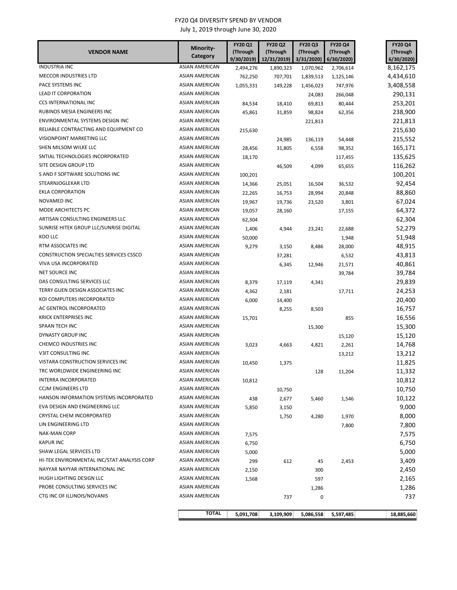| <b>VENDOR NAME</b>                          | Minority-<br>Category | <b>FY20 Q1</b><br>(Through<br>9/30/2019) | <b>FY20 Q2</b><br>(Through | <b>FY20 Q3</b><br>(Through | <b>FY20 Q4</b><br>(Through | <b>FY20 Q4</b><br>(Through |
|---------------------------------------------|-----------------------|------------------------------------------|----------------------------|----------------------------|----------------------------|----------------------------|
| <b>INDUSTRIA INC</b>                        | <b>ASIAN AMERICAN</b> | 2,494,276                                | 12/31/2019)<br>1,890,323   | 3/31/2020<br>1,070,962     | 6/30/2020)<br>2,706,614    | 6/30/2020)<br>8,162,175    |
| MECCOR INDUSTRIES LTD                       | ASIAN AMERICAN        | 762,250                                  | 707,701                    | 1,839,513                  | 1,125,146                  | 4,434,610                  |
| PACE SYSTEMS INC                            | ASIAN AMERICAN        | 1,055,331                                | 149,228                    | 1,456,023                  | 747,976                    | 3,408,558                  |
| LEAD IT CORPORATION                         | ASIAN AMERICAN        |                                          |                            | 24,083                     | 266,048                    | 290,131                    |
| CCS INTERNATIONAL INC                       | ASIAN AMERICAN        | 84,534                                   | 18,410                     | 69,813                     | 80,444                     | 253,201                    |
| RUBINOS MESIA ENGINEERS INC                 | ASIAN AMERICAN        |                                          |                            | 98,824                     |                            | 238,900                    |
| ENVIRONMENTAL SYSTEMS DESIGN INC            | ASIAN AMERICAN        | 45,861                                   | 31,859                     |                            | 62,356                     | 221,813                    |
| RELIABLE CONTRACTING AND EQUIPMENT CO       | ASIAN AMERICAN        |                                          |                            | 221,813                    |                            | 215,630                    |
| VISIONPOINT MARKETING LLC                   | ASIAN AMERICAN        | 215,630                                  |                            |                            |                            |                            |
| SHEN MILSOM WILKE LLC                       | ASIAN AMERICAN        |                                          | 24,985                     | 136,119                    | 54,448                     | 215,552                    |
| SNTIAL TECHNOLOGIES INCORPORATED            | ASIAN AMERICAN        | 28,456                                   | 31,805                     | 6,558                      | 98,352                     | 165,171                    |
| SITE DESIGN GROUP LTD                       | ASIAN AMERICAN        | 18,170                                   |                            |                            | 117,455                    | 135,625                    |
| S AND F SOFTWARE SOLUTIONS INC              | <b>ASIAN AMERICAN</b> |                                          | 46,509                     | 4,099                      | 65,655                     | 116,262                    |
|                                             |                       | 100,201                                  |                            |                            |                            | 100,201                    |
| STEARNJOGLEKAR LTD                          | ASIAN AMERICAN        | 14,366                                   | 25,051                     | 16,504                     | 36,532                     | 92,454                     |
| <b>EKLA CORPORATION</b>                     | <b>ASIAN AMERICAN</b> | 22,265                                   | 16,753                     | 28,994                     | 20,848                     | 88,860                     |
| <b>NOVAMED INC</b>                          | <b>ASIAN AMERICAN</b> | 19,967                                   | 19,736                     | 23,520                     | 3,801                      | 67,024                     |
| MODE ARCHITECTS PC                          | ASIAN AMERICAN        | 19,057                                   | 28,160                     |                            | 17,155                     | 64,372                     |
| ARTISAN CONSULTING ENGINEERS LLC            | ASIAN AMERICAN        | 62,304                                   |                            |                            |                            | 62,304                     |
| SUNRISE HITEK GROUP LLC/SUNRISE DIGITAL     | <b>ASIAN AMERICAN</b> | 1,406                                    | 4,944                      | 23,241                     | 22,688                     | 52,279                     |
| KOO LLC                                     | ASIAN AMERICAN        | 50,000                                   |                            |                            | 1,948                      | 51,948                     |
| RTM ASSOCIATES INC                          | <b>ASIAN AMERICAN</b> | 9,279                                    | 3,150                      | 8,486                      | 28,000                     | 48,915                     |
| CONSTRUCTION SPECIALTIES SERVICES CSSCO     | <b>ASIAN AMERICAN</b> |                                          | 37,281                     |                            | 6,532                      | 43,813                     |
| VIVA USA INCORPORATED                       | ASIAN AMERICAN        |                                          | 6,345                      | 12,946                     | 21,571                     | 40,861                     |
| NET SOURCE INC                              | ASIAN AMERICAN        |                                          |                            |                            | 39,784                     | 39,784                     |
| DAS CONSULTING SERVICES LLC                 | <b>ASIAN AMERICAN</b> | 8,379                                    | 17,119                     | 4,341                      |                            | 29,839                     |
| TERRY GUEN DESIGN ASSOCIATES INC            | <b>ASIAN AMERICAN</b> | 4,362                                    | 2,181                      |                            | 17,711                     | 24,253                     |
| KOI COMPUTERS INCORPORATED                  | <b>ASIAN AMERICAN</b> | 6,000                                    | 14,400                     |                            |                            | 20,400                     |
| AC GENTROL INCORPORATED                     | ASIAN AMERICAN        |                                          | 8,255                      | 8,503                      |                            | 16,757                     |
| <b>KRICK ENTERPRISES INC</b>                | <b>ASIAN AMERICAN</b> | 15,701                                   |                            |                            | 855                        | 16,556                     |
| SPAAN TECH INC                              | ASIAN AMERICAN        |                                          |                            | 15,300                     |                            | 15,300                     |
| DYNASTY GROUP INC                           | ASIAN AMERICAN        |                                          |                            |                            | 15,120                     | 15,120                     |
| CHEMCO INDUSTRIES INC                       | <b>ASIAN AMERICAN</b> | 3,023                                    | 4,663                      | 4,821                      | 2,261                      | 14,768                     |
| V3IT CONSULTING INC                         | <b>ASIAN AMERICAN</b> |                                          |                            |                            | 13,212                     | 13,212                     |
| VISTARA CONSTRUCTION SERVICES INC           | <b>ASIAN AMERICAN</b> | 10,450                                   | 1,375                      |                            |                            | 11,825                     |
| TRC WORLDWIDE ENGINEERING INC               | ASIAN AMERICAN        |                                          |                            | 128                        | 11,204                     | 11,332                     |
| INTERRA INCORPORATED                        | <b>ASIAN AMERICAN</b> | 10,812                                   |                            |                            |                            | 10,812                     |
| <b>CCJM ENGINEERS LTD</b>                   | <b>ASIAN AMERICAN</b> |                                          | 10,750                     |                            |                            | 10,750                     |
| HANSON INFORMATION SYSTEMS INCORPORATED     | ASIAN AMERICAN        | 438                                      | 2,677                      | 5,460                      | 1,546                      | 10,122                     |
| EVA DESIGN AND ENGINEERING LLC              | ASIAN AMERICAN        | 5,850                                    | 3,150                      |                            |                            | 9,000                      |
| CRYSTAL CHEM INCORPORATED                   | ASIAN AMERICAN        |                                          | 1,750                      | 4,280                      | 1,970                      | 8,000                      |
| LIN ENGINEERING LTD                         | <b>ASIAN AMERICAN</b> |                                          |                            |                            | 7,800                      | 7,800                      |
| <b>NAK-MAN CORP</b>                         | ASIAN AMERICAN        | 7,575                                    |                            |                            |                            | 7,575                      |
| <b>KAPUR INC</b>                            | ASIAN AMERICAN        | 6,750                                    |                            |                            |                            | 6,750                      |
| SHAW LEGAL SERVICES LTD                     | ASIAN AMERICAN        | 5,000                                    |                            |                            |                            | 5,000                      |
| HI-TEK ENVIRONMENTAL INC/STAT ANALYSIS CORP | ASIAN AMERICAN        | 299                                      | 612                        | 45                         | 2,453                      | 3,409                      |
| NAYYAR NAYYAR INTERNATIONAL INC             | ASIAN AMERICAN        | 2,150                                    |                            | 300                        |                            | 2,450                      |
| HUGH LIGHTING DESIGN LLC                    | ASIAN AMERICAN        | 1,568                                    |                            | 597                        |                            | 2,165                      |
| PROBE CONSULTING SERVICES INC               | ASIAN AMERICAN        |                                          |                            | 1,286                      |                            | 1,286                      |
| CTG INC OF ILLINOIS/NOVANIS                 | ASIAN AMERICAN        |                                          | 737                        | 0                          |                            | 737                        |
|                                             | <b>TOTAL</b>          | 5,091,708                                | 3,109,909                  | 5,086,558                  | 5,597,485                  | 18,885,660                 |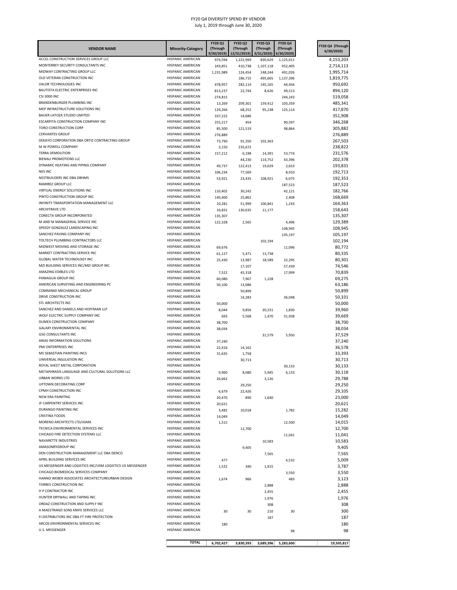| <b>VENDOR NAME</b>                                                       | <b>Minority-Category</b>                      | FY20 Q1<br>(Through<br>9/30/2019) | <b>FY20 Q2</b><br>(Through<br>12/31/2019) | <b>FY20 Q3</b><br>(Through<br>3/31/2020) | <b>FY20 Q4</b><br>(Through<br>6/30/2020) | FY20 Q4 (Through<br>6/30/2020) |
|--------------------------------------------------------------------------|-----------------------------------------------|-----------------------------------|-------------------------------------------|------------------------------------------|------------------------------------------|--------------------------------|
| ACCEL CONSTRUCTION SERVICES GROUP LLC                                    | HISPANIC AMERICAN                             | 974,594                           | 1,222,969                                 | 830,629                                  | 1,125,011                                | 4,153,203                      |
| MONTERREY SECURITY CONSULTANTS INC                                       | HISPANIC AMERICAN                             | 243,851                           | 410,738                                   | 1,107,118                                | 952,405                                  | 2,714,113                      |
| MIDWAY CONTRACTING GROUP LLC                                             | HISPANIC AMERICAN                             | 1,231,989                         | 124,454                                   | 148,244                                  | 491,026                                  | 1,995,714                      |
| OLD VETERAN CONSTRUCTION INC<br>VALOR TECHNOLOGIES INC                   | HISPANIC AMERICAN<br>HISPANIC AMERICAN        |                                   | 186,715                                   | 495,665                                  | 1,137,396                                | 1,819,775                      |
| BAUTISTA ELECTRIC ENTERPRISES INC                                        | HISPANIC AMERICAN                             | 478,957<br>813,237                | 282,114<br>22,744                         | 145,165<br>8,626                         | 44,456                                   | 950,692<br>894,120             |
| <b>CSI 3000 INC</b>                                                      | HISPANIC AMERICAN                             | 274,815                           |                                           |                                          | 49,513<br>244,243                        | 519,058                        |
| BRANDENBURGER PLUMBING INC                                               | HISPANIC AMERICAN                             | 13,269                            | 209,301                                   | 159,412                                  | 103,359                                  | 485,341                        |
| MEP INFRASTRUCTURE SOLUTIONS INC                                         | HISPANIC AMERICAN                             | 129,266                           | 68,252                                    | 95,238                                   | 125,114                                  | 417,870                        |
| BAUER LATOZA STUDIO LIMITED                                              | HISPANIC AMERICAN                             | 337,222                           | 14,686                                    |                                          |                                          | 351,908                        |
| <b>ESCARPITA CONSTRUCTION COMPANY INC</b>                                | HISPANIC AMERICAN                             | 255,217                           | 454                                       |                                          | 90,597                                   | 346,268                        |
| TORO CONSTRUCTION CORP                                                   | HISPANIC AMERICAN                             | 85,500                            | 121,519                                   |                                          | 98,864                                   | 305,882                        |
| <b>CERVANTES GROUP</b><br>DEKAYO CORPORATION DBA ORTIZ CONTRACTING GROUP | HISPANIC AMERICAN<br><b>HISPANIC AMERICAN</b> | 276,889                           |                                           |                                          |                                          | 276,889                        |
| M W POWELL COMPANY                                                       | HISPANIC AMERICAN                             | 73,790                            | 91,350                                    | 102,363                                  |                                          | 267,503<br>238,822             |
| <b>TERRA DEMOLITION</b>                                                  | HISPANIC AMERICAN                             | 3,150<br>157,212                  | 235,672<br>6,198                          | 14,391                                   | 53,774                                   | 231,576                        |
| <b>BIENALI PROMOTIONS LLC</b>                                            | HISPANIC AMERICAN                             |                                   | 44,230                                    | 114,752                                  | 43,396                                   | 202,378                        |
| DYNAMIC HEATING AND PIPING COMPANY                                       | HISPANIC AMERICAN                             | 49,737                            | 122,413                                   | 19,029                                   | 2,653                                    | 193,831                        |
| <b>NES INC</b>                                                           | HISPANIC AMERICAN                             | 106,234                           | 77,569                                    |                                          | 8,910                                    | 192,713                        |
| NESTBUILDERS INC DBA DBHMS                                               | HISPANIC AMERICAN                             | 53,921                            | 23,435                                    | 108,921                                  | 6,075                                    | 192,353                        |
| RAMIREZ GROUP LLC                                                        | HISPANIC AMERICAN                             |                                   |                                           |                                          | 187,523                                  | 187,523                        |
| VIRTUAL ENERGY SOLUTIONS INC                                             | HISPANIC AMERICAN                             | 110,402                           | 30,242                                    |                                          | 42,121                                   | 182,766                        |
| PINTO CONSTRUCTION GROUP INC<br>INFINITY TRANSPORTATION MANAGEMENT LLC   | HISPANIC AMERICAN<br>HISPANIC AMERICAN        | 140,400                           | 25,862                                    |                                          | 2,408                                    | 168,669                        |
| <b>ARCHITRAVE LTD</b>                                                    | HISPANIC AMERICAN                             | 10,281<br>16,831                  | 51,999<br>130,635                         | 100,841<br>11,177                        | 1,243                                    | 164,363<br>158,643             |
| CONECTA GROUP INCORPORATED                                               | HISPANIC AMERICAN                             | 135,307                           |                                           |                                          |                                          | 135,307                        |
| M AND M MANAGERIAL SERVICE INC                                           | HISPANIC AMERICAN                             | 122,328                           | 2,565                                     |                                          | 4,496                                    | 129,389                        |
| SPEEDY GONZALEZ LANDSCAPING INC                                          | HISPANIC AMERICAN                             |                                   |                                           |                                          | 108,945                                  | 108,945                        |
| SANCHEZ PAVING COMPANY INC                                               | HISPANIC AMERICAN                             |                                   |                                           |                                          | 105,197                                  | 105,197                        |
| TOLTECH PLUMBING CONTRACTORS LLC                                         | HISPANIC AMERICAN                             |                                   |                                           | 102,194                                  |                                          | 102,194                        |
| MIDWEST MOVING AND STORAGE INC                                           | HISPANIC AMERICAN                             | 69,676                            |                                           |                                          | 11,096                                   | 80,772                         |
| MARKET CONTRACTING SERVICE INC                                           | HISPANIC AMERICAN                             | 61,127                            | 5,471                                     | 13,738                                   |                                          | 80,335                         |
| GLOBAL WATER TECHNOLOGY INC<br>MZI BUILDING SERVICES INC/MZI GROUP INC   | HISPANIC AMERICAN<br>HISPANIC AMERICAN        | 25,430                            | 13,987                                    | 18,589                                   | 22,295                                   | 80,301                         |
| AMAZING EDIBLES LTD                                                      | HISPANIC AMERICAN                             | 7,522                             | 17,107<br>45,318                          |                                          | 57,439<br>17,999                         | 74,546<br>70,839               |
| PANIAGUA GROUP INC                                                       | HISPANIC AMERICAN                             | 60,080                            | 7,967                                     | 1,228                                    |                                          | 69,275                         |
| AMERICAN SURVEYING AND ENGINEERING PC                                    | HISPANIC AMERICAN                             | 50,100                            | 13,086                                    |                                          |                                          | 63,186                         |
| COMMAND MECHANICAL GROUP                                                 | HISPANIC AMERICAN                             |                                   | 50,899                                    |                                          |                                          | 50,899                         |
| DRIVE CONSTRUCTION INC                                                   | HISPANIC AMERICAN                             |                                   | 14,283                                    |                                          | 36,048                                   | 50,331                         |
| STL ARCHITECTS INC                                                       | HISPANIC AMERICAN                             | 50,000                            |                                           |                                          |                                          | 50,000                         |
| SANCHEZ AND DANIELS AND HOFFMAN LLP                                      | HISPANIC AMERICAN                             | 8,044                             | 9,856                                     | 20,231                                   | 1,830                                    | 39,960                         |
| WOLF ELECTRIC SUPPLY COMPANY INC<br>DUMEX CONSTRUCTION COMPANY           | HISPANIC AMERICAN                             | 693                               | 5,568                                     | 1,470                                    | 31,938                                   | 39,669                         |
| GALAXY ENVIRONMENTAL INC                                                 | HISPANIC AMERICAN<br>HISPANIC AMERICAN        | 38,700<br>38,034                  |                                           |                                          |                                          | 38,700<br>38,034               |
| <b>GSG CONSULTANTS INC</b>                                               | HISPANIC AMERICAN                             |                                   |                                           | 31,579                                   | 5,950                                    | 37,529                         |
| ARIAS INFORMATION SOLUTIONS                                              | HISPANIC AMERICAN                             | 37,240                            |                                           |                                          |                                          | 37,240                         |
| PMJ ENTERPRISES INC                                                      | <b>HISPANIC AMERICAN</b>                      | 22,416                            | 14,162                                    |                                          |                                          | 36,578                         |
| MS SEBASTIAN PAINTING INCS                                               | HISPANIC AMERICAN                             | 31,635                            | 1,758                                     |                                          |                                          | 33,393                         |
| UNIVERSAL INSULATION INC                                                 | HISPANIC AMERICAN                             |                                   | 30,713                                    |                                          |                                          | 30,713                         |
| ROYAL SHEET METAL CORPORATION                                            | <b>HISPANIC AMERICAN</b>                      |                                   |                                           |                                          | 30,133                                   | 30,133                         |
| METAPHRASIS LANGUAGE AND CULTURAL SOLUTIONS LLC                          | <b>HISPANIC AMERICAN</b>                      | 9,960                             | 8,080                                     | 5,945                                    | 6,133                                    | 30,118                         |
| URBAN WORKS LTD                                                          | HISPANIC AMERICAN                             | 26,662                            |                                           | 3,126                                    |                                          | 29,788                         |
| UPTOWN DECORATING CORP<br>CPMH CONSTRUCTION INC                          | HISPANIC AMERICAN<br>HISPANIC AMERICAN        |                                   | 29,250                                    |                                          |                                          | 29,250                         |
| <b>NEW ERA PAINITNG</b>                                                  | HISPANIC AMERICAN                             | 6,679<br>20,470                   | 22,426<br>890                             | 1,640                                    |                                          | 29,105<br>23,000               |
| JF CARPENTRY SERVICES INC                                                | <b>HISPANIC AMERICAN</b>                      | 20,621                            |                                           |                                          |                                          | 20,621                         |
| DURANGO PAINTING INC                                                     | HISPANIC AMERICAN                             | 3,482                             | 10,018                                    |                                          | 1,782                                    | 15,282                         |
| <b>CRISTINA FOODS</b>                                                    | HISPANIC AMERICAN                             | 14,049                            |                                           |                                          |                                          | 14,049                         |
| MORENO ARCHITECTS LTD/JGMA                                               | <b>HISPANIC AMERICAN</b>                      | 1,515                             |                                           |                                          | 12,500                                   | 14,015                         |
| TECNICA ENVIRONMENTAL SERVICES INC                                       | HISPANIC AMERICAN                             |                                   | 12,700                                    |                                          |                                          | 12,700                         |
| CHICAGO FIRE DETECTION SYSTEMS LLC                                       | HISPANIC AMERICAN                             |                                   |                                           |                                          | 11,041                                   | 11,041                         |
| NAVARETTE INDUSTRIES<br>AMASONRYGROUP INC                                | HISPANIC AMERICAN                             |                                   |                                           | 10,583                                   |                                          | 10,583                         |
| DEN CONSTRUCTION MANAGEMENT LLC DBA DENCO                                | HISPANIC AMERICAN<br><b>HISPANIC AMERICAN</b> |                                   | 9,405                                     |                                          |                                          | 9,405<br>7,565                 |
| APRIL BUILDING SERVICES INC                                              | <b>HISPANIC AMERICAN</b>                      | 477                               |                                           | 7,565                                    | 4,532                                    | 5,009                          |
| US MESSENGER AND LOGISTICS INC/USM LOGISTICS US MESSENGER                | <b>HISPANIC AMERICAN</b>                      | 1,532                             | 340                                       | 1,915                                    |                                          | 3,787                          |
| CHICAGO BIOMEDICAL SERVICES COMPANY                                      | HISPANIC AMERICAN                             |                                   |                                           |                                          | 3,550                                    | 3,550                          |
| HANNO WEBER ASSOCIATES ARCHITECTUREURBAN DESIGN                          | HISPANIC AMERICAN                             | 1,674                             | 966                                       |                                          | 483                                      | 3,123                          |
| TORRES CONSTRUCTION INC                                                  | HISPANIC AMERICAN                             |                                   |                                           | 2,888                                    |                                          | 2,888                          |
| H P CONTRACTOR INC                                                       | HISPANIC AMERICAN                             |                                   |                                           | 2,455                                    |                                          | 2,455                          |
| HUNTER DRYWALL AND TAPING INC                                            | HISPANIC AMERICAN                             |                                   |                                           | 1,976                                    |                                          | 1,976                          |
| ORDAZ CONSTRUCTION AND SUPPLY INC                                        | <b>HISPANIC AMERICAN</b>                      |                                   |                                           | 308                                      |                                          | 308                            |
| A MAESTRANZI SONS KNIFE SERVICES LLC                                     | HISPANIC AMERICAN                             | 30                                | 30                                        | 210                                      | 30                                       | 300                            |
| FI DISTRIBUTORS INC DBA FT FIRE PROTECTION                               | HISPANIC AMERICAN                             |                                   |                                           | 187                                      |                                          | 187                            |
| ARCOS ENVIRONMENTAL SERVICES INC                                         | HISPANIC AMERICAN                             | 180                               |                                           |                                          |                                          | 180                            |
| U.S. MESSENGER                                                           | HISPANIC AMERICAN                             |                                   |                                           |                                          | 98                                       | 98                             |
|                                                                          | <b>TOTAL</b>                                  | 6,702,427                         | 3,830,393                                 | 3,689,396                                | 5,283,600                                | 19,505,817                     |
|                                                                          |                                               |                                   |                                           |                                          |                                          |                                |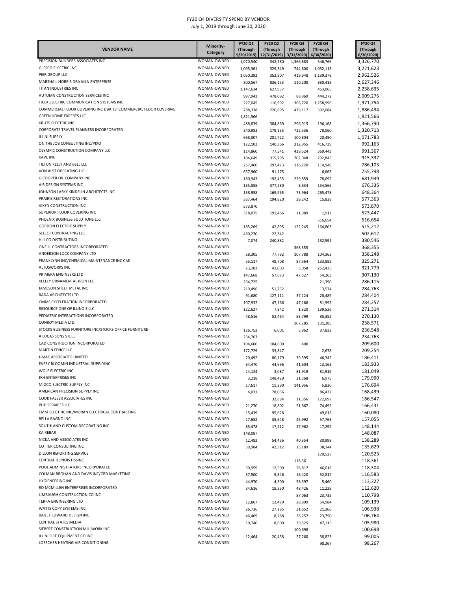| <b>VENDOR NAME</b>                                                | Minority-                  | FY20 Q1<br>(Through    | FY20 Q2<br>(Through | FY20 Q3<br>(Through | <b>FY20 Q4</b><br>(Through | FY20 Q4<br>(Through    |
|-------------------------------------------------------------------|----------------------------|------------------------|---------------------|---------------------|----------------------------|------------------------|
|                                                                   | Category                   | 9/30/2019)             | 12/31/2019)         | 3/31/2020)          | 6/30/2020)                 | 6/30/2020)             |
| PRECISION BUILDERS ASSOCIATES INC<br><b>GLESCO ELECTRIC INC</b>   | WOMAN-OWNED<br>WOMAN-OWNED | 1,070,540              | 342,580             | 1,366,883           | 546,766                    | 3,326,770              |
| PIER GROUP LLC                                                    | WOMAN-OWNED                | 1,095,361<br>1,050,392 | 329,349<br>352,807  | 744,800<br>419,948  | 1,052,113<br>1,139,378     | 3,221,623<br>2,962,526 |
| MARSHA L NORRIS DBA MLN ENTERPRISE                                | WOMAN-OWNED                | 800,567                | 836,153             | 110,208             | 880,418                    | 2,627,346              |
| TITAN INDUSTRIES INC                                              | WOMAN-OWNED                | 1,147,634              | 627,937             |                     | 463,065                    | 2,238,635              |
| AUTUMN CONSTRUCTION SERVICES INC                                  | WOMAN-OWNED                | 997,943                | 478,092             | 88,969              | 444,272                    | 2,009,275              |
| FICEK ELECTRIC COMMUNICATION SYSTEMS INC                          | WOMAN-OWNED                | 227,045                | 116,992             | 368,720             | 1,258,996                  | 1,971,754              |
| COMMERCIAL FLOOR COVERING INC DBA TSI COMMERCIAL FLOOR COVERING   | WOMAN-OWNED                | 788,338                | 226,895             | 479,117             | 392,084                    | 1,886,434              |
| <b>GREEN HOME EXPERTS LLC</b><br>KRUTS ELECTRIC INC               | WOMAN-OWNED<br>WOMAN-OWNED | 1,821,566<br>488,839   |                     |                     | 196,168                    | 1,821,566<br>1,366,790 |
| CORPORATE TRAVEL PLANNERS INCORPORATED                            | WOMAN-OWNED                | 340,983                | 384,869<br>179,135  | 296,915<br>722,536  | 78,060                     | 1,320,713              |
| <b>ILLINI SUPPLY</b>                                              | WOMAN-OWNED                | 668,807                | 281,722             | 100,804             | 20,450                     | 1,071,783              |
| ON THE JOB CONSULTING INC/PIXO                                    | WOMAN-OWNED                | 122,103                | 140,366             | 312,955             | 416,739                    | 992,163                |
| OLYMPIC CONSTRUCTION COMPANY LLC                                  | WOMAN-OWNED                | 114,860                | 77,541              | 429,524             | 369,443                    | 991,367                |
| <b>KAVE INC</b>                                                   | WOMAN-OWNED                | 104,649                | 315,795             | 202,048             | 292,845                    | 915,337                |
| TILTON KELLY AND BELL LLC                                         | WOMAN-OWNED                | 257,460                | 297,473             | 116,220             | 114,949                    | 786,103                |
| VON ALST OPERATING LLC<br>G COOPER OIL COMPANY INC                | WOMAN-OWNED<br>WOMAN-OWNED | 657,960                | 91,175              |                     | 6,663                      | 755,798                |
| AIR DESIGN SYSTEMS INC                                            | WOMAN-OWNED                | 180,943<br>135,855     | 192,455<br>377,280  | 229,859<br>8,634    | 78,692<br>154,566          | 681,949<br>676,335     |
| JOHNSON LASKY KINDELIN ARCHITECTS INC                             | WOMAN-OWNED                | 138,958                | 169,965             | 73,964              | 265,478                    | 648,364                |
| PRAIRIE RESTORATIONS INC                                          | WOMAN-OWNED                | 337,464                | 194,820             | 29,242              | 15,838                     | 577,363                |
| VIXEN CONSTRUCTION INC                                            | WOMAN-OWNED                | 573,870                |                     |                     |                            | 573,870                |
| SUPERIOR FLOOR COVERING INC                                       | WOMAN-OWNED                | 318,075                | 191,466             | 11,989              | 1,917                      | 523,447                |
| PHOENIX BUSINESS SOLUTIONS LLC                                    | WOMAN-OWNED                |                        |                     |                     | 516,654                    | 516,654                |
| <b>GORDON ELECTRIC SUPPLY</b>                                     | WOMAN-OWNED                | 185,269                | 42,895              | 122,245             | 164,803                    | 515,212                |
| SELECT CONTRACTING LLC<br>HILLCO DISTRIBUTING                     | WOMAN-OWNED<br>WOMAN-OWNED | 480,270                | 22,342              |                     |                            | 502,612                |
| ONEILL CONTRACTORS INCORPORATED                                   | WOMAN-OWNED                | 7,074                  | 240,882             | 368,355             | 132,591                    | 380,546<br>368,355     |
| ANDERSON LOCK COMPANY LTD                                         | WOMAN-OWNED                | 68,305                 | 77,792              | 107,788             | 104,363                    | 358,248                |
| FRANKLYNN INC/CHEMICAL MAINTENANCE INC CMI                        | WOMAN-OWNED                | 55,117                 | 48,708              | 87,564              | 133,882                    | 325,271                |
| ALTUSWORKS INC                                                    | WOMAN-OWNED                | 23,283                 | 41,003              | 5,058               | 252,435                    | 321,779                |
| PRIMERA ENGINEERS LTD                                             | WOMAN-OWNED                | 147,668                | 57,673              | 47,527              | 54,263                     | 307,130                |
| KELLEY ORNAMENTAL IRON LLC                                        | WOMAN-OWNED                | 264,725                |                     |                     | 21,390                     | 286,115                |
| JAMESON SHEET METAL INC                                           | WOMAN-OWNED                | 219,496                | 51,732              |                     | 13,534                     | 284,763                |
| RADA ARCHITECTS LTD<br>CMMS EXCELERATION INCORPORATED             | WOMAN-OWNED<br>WOMAN-OWNED | 91,680                 | 127,111             | 37,124              | 28,489                     | 284,404                |
| RESOURCE ONE OF ILLINOIS LLC                                      | WOMAN-OWNED                | 107,932<br>122,627     | 47,166<br>7,842     | 47,166<br>1,320     | 81,993<br>139,526          | 284,257<br>271,314     |
| PEDIATRIC INTERACTIONS INCORPORATED                               | WOMAN-OWNED                | 48,516                 | 52,464              | 83,799              | 85,352                     | 270,130                |
| <b>CONROY MEDIA LTD</b>                                           | WOMAN-OWNED                |                        |                     | 107,285             | 131,285                    | 238,571                |
| STOCKS BUSINESS FURNITURE INC/STOCKS OFFICE FURNITURE             | WOMAN-OWNED                | 126,752                | 6,001               | 5,962               | 97,832                     | 236,548                |
| A LUCAS SONS STEEL                                                | WOMAN-OWNED                | 234,763                |                     |                     |                            | 234,763                |
| CAD CONSTRUCTION INCORPORATED                                     | WOMAN-OWNED                | 104,600                | 104,600             | 400                 |                            | 209,600                |
| <b>MARTIN FENCE LLC</b>                                           | WOMAN-OWNED                | 172,729                | 33,847              |                     | 2,678                      | 209,254                |
| J-MAC ASSOCIATES LIMITED<br>EVERY BLOOMIN INDUSTRIAL SUPPLYINC    | WOMAN-OWNED<br>WOMAN-OWNED | 20,492                 | 80,179              | 39,395              | 46,345                     | 186,411<br>183,933     |
| WOLF ELECTRIC INC                                                 | WOMAN-OWNED                | 84,470<br>14,124       | 44,696<br>3,087     | 41,604<br>81,919    | 13,163<br>81,919           | 181,049                |
| JRH ENTERPRISES INC                                               | WOMAN-OWNED                | 3,218                  | 148,429             | 21,368              | 6,975                      | 179,990                |
| MIDCO ELECTRIC SUPPLY INC                                         | WOMAN-OWNED                | 17,617                 | 11,290              | 141,956             | 5,830                      | 176,694                |
| AMERICAN PRECISION SUPPLY INC                                     | WOMAN-OWNED                | 4,031                  | 78,036              |                     | 86,432                     | 168,499                |
| COOK FASSER ASSOCIATES INC                                        | WOMAN-OWNED                |                        | 32,894              | 11,556              | 122,097                    | 166,547                |
| PHD SERVICES LLC                                                  | WOMAN-OWNED                | 21,270                 | 18,802              | 51,867              | 74,492                     | 166,431                |
| EMM ELECTRIC INC/MORAN ELECTRICAL CONTRACTING                     | WOMAN-OWNED                | 15,439                 | 95,628              |                     | 49,013                     | 160,080                |
| BELLA BAGNO INC<br>SOUTHLAND CUSTOM DECORATING INC                | WOMAN-OWNED<br>WOMAN-OWNED | 17,652                 | 35,648              | 45,992              | 57,763                     | 157,055<br>148,144     |
| <b>KA REBAR</b>                                                   | WOMAN-OWNED                | 85,478<br>148,087      | 17,412              | 27,962              | 17,292                     | 148,087                |
| NICKA AND ASSOCIATES INC                                          | WOMAN-OWNED                | 12,482                 | 54,456              | 40,354              | 30,998                     | 138,289                |
| COTTER CONSULTING INC                                             | WOMAN-OWNED                | 39,984                 | 42,312              | 15,189              | 38,144                     | 135,629                |
| DILLON REPORTING SERVICE                                          | WOMAN-OWNED                |                        |                     |                     | 120,523                    | 120,523                |
| CENTRAL ILLINOIS HSSINC                                           | WOMAN-OWNED                |                        |                     | 118,361             |                            | 118,361                |
| POOL ADMINISTRATORS INCORPORATED                                  | WOMAN-OWNED                | 30,959                 | 12,509              | 28,817              | 46,018                     | 118,304                |
| COLMAN BROHAN AND DAVIS INC/CBD MARKETING                         | WOMAN-OWNED                | 37,500                 | 9,846               | 16,420              | 52,817                     | 116,583                |
| HYGIENEERING INC<br>RD MCMILLEN ENTERPRISES INCORPORATED          | WOMAN-OWNED<br>WOMAN-OWNED | 44,970                 | 4,300               | 58,597              | 5,460                      | 113,327                |
| LIMBAUGH CONSTRUCTION CO INC                                      | WOMAN-OWNED                | 34,616                 | 18,350              | 48,426<br>87,063    | 11,228<br>23,735           | 112,620<br>110,798     |
| TERRA ENGINEERING LTD                                             | WOMAN-OWNED                | 12,867                 | 12,479              | 28,809              | 54,984                     | 109,139                |
| WATTS COPY SYSTEMS INC                                            | WOMAN-OWNED                | 26,736                 | 27,185              | 31,652              | 21,366                     | 106,938                |
| BAILEY EDWARD DESIGN INC                                          | WOMAN-OWNED                | 46,469                 | 8,288               | 28,257              | 23,750                     | 106,764                |
| CENTRAL STATES MEDIA                                              | WOMAN-OWNED                | 10,740                 | 8,600               | 39,525              | 47,115                     | 105,980                |
| SIEBERT CONSTRUCTION MILLWORK INC                                 | WOMAN-OWNED                |                        |                     | 100,698             |                            | 100,698                |
| ILLINI FIRE EQUIPMENT CO INC<br>LOESCHER HEATING AIR CONDITIONING | WOMAN-OWNED<br>WOMAN-OWNED | 12,464                 | 20,458              | 27,260              | 38,823                     | 99,005                 |
|                                                                   |                            |                        |                     |                     | 98,267                     | 98,267                 |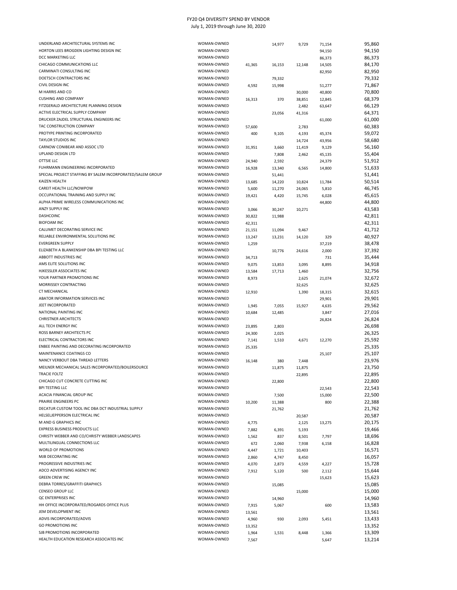| UNDERLAND ARCHITECTURAL SYSTEMS INC                        | WOMAN-OWNED |        | 14,977 | 9,729  | 71,154 | 95,860 |
|------------------------------------------------------------|-------------|--------|--------|--------|--------|--------|
| HORTON LEES BROGDEN LIGHTING DESIGN INC                    | WOMAN-OWNED |        |        |        | 94,150 | 94,150 |
| DCC MARKETING LLC                                          | WOMAN-OWNED |        |        |        | 86,373 | 86,373 |
| CHICAGO COMMUNICATIONS LLC                                 | WOMAN-OWNED | 41,365 | 16,153 | 12,148 | 14,505 | 84,170 |
| CARMINATI CONSULTING INC                                   | WOMAN-OWNED |        |        |        | 82,950 | 82,950 |
| DOETSCH CONTRACTORS INC                                    | WOMAN-OWNED |        | 79,332 |        |        | 79,332 |
| CIVIL DESIGN INC                                           | WOMAN-OWNED |        |        |        |        |        |
|                                                            |             | 4,592  | 15,998 |        | 51,277 | 71,867 |
| M HARRIS AND CO                                            | WOMAN-OWNED |        |        | 30,000 | 40,800 | 70,800 |
| <b>CUSHING AND COMPANY</b>                                 | WOMAN-OWNED | 16,313 | 370    | 38,851 | 12,845 | 68,379 |
| FITZGERALD ARCHITECTURE PLANNING DESIGN                    | WOMAN-OWNED |        |        | 2,482  | 63,647 | 66,129 |
| ACTIVE ELECTRICAL SUPPLY COMPANY                           | WOMAN-OWNED |        | 23,056 | 41,316 |        | 64,371 |
| DRUCKER ZAJDEL STRUCTURAL ENGINEERS INC                    | WOMAN-OWNED |        |        |        | 61,000 | 61,000 |
| TAC CONSTRUCTION COMPANY                                   | WOMAN-OWNED | 57,600 |        | 2,783  |        | 60,383 |
| PROTYPE PRINTING INCORPORATED                              | WOMAN-OWNED | 400    | 9,105  | 4,193  | 45,374 | 59,072 |
| <b>TAYLOR STUDIOS INC</b>                                  | WOMAN-OWNED |        |        |        |        |        |
|                                                            |             |        |        | 14,724 | 43,956 | 58,680 |
| CARNOW CONIBEAR AND ASSOC LTD                              | WOMAN-OWNED | 31,951 | 3,660  | 11,419 | 9,129  | 56,160 |
| UPLAND DESIGN LTD                                          | WOMAN-OWNED |        | 7,808  | 2,462  | 45,135 | 55,404 |
| OTTSIE LLC                                                 | WOMAN-OWNED | 24,940 | 2,592  |        | 24,379 | 51,912 |
| FUHRMANN ENGINEERING INCORPORATED                          | WOMAN-OWNED | 16,928 | 13,340 | 6,565  | 14,800 | 51,633 |
| SPECIAL PROJECT STAFFING BY SALEM INCORPORATED/SALEM GROUP | WOMAN-OWNED |        | 51,441 |        |        | 51,441 |
| KAIZEN HEALTH                                              | WOMAN-OWNED | 13,685 | 14,220 | 10,824 | 11,784 | 50,514 |
| CAREIT HEALTH LLC/NOWPOW                                   | WOMAN-OWNED | 5,600  | 11,270 | 24,065 | 5,810  | 46,745 |
| OCCUPATIONAL TRAINING AND SUPPLY INC                       | WOMAN-OWNED |        |        |        |        |        |
|                                                            |             | 19,421 | 4,420  | 15,745 | 6,028  | 45,615 |
| ALPHA PRIME WIRELESS COMMUNICATIONS INC                    | WOMAN-OWNED |        |        |        | 44,800 | 44,800 |
| ANZY SUPPLY INC                                            | WOMAN-OWNED | 3,066  | 30,247 | 10,271 |        | 43,583 |
| DASHCOINC                                                  | WOMAN-OWNED | 30,822 | 11,988 |        |        | 42,811 |
| <b>BIOFOAM INC</b>                                         | WOMAN-OWNED | 42,311 |        |        |        | 42,311 |
| CALUMET DECORATING SERVICE INC                             | WOMAN-OWNED | 21,151 | 11,094 | 9,467  |        | 41,712 |
| RELIABLE ENVIRONMENTAL SOLUTIONS INC                       | WOMAN-OWNED | 13,247 | 13,231 | 14,120 | 329    | 40,927 |
| <b>EVERGREEN SUPPLY</b>                                    | WOMAN-OWNED | 1,259  |        |        | 37,219 | 38,478 |
| ELIZABETH A BLANKENSHIP DBA BPI TESTING LLC                | WOMAN-OWNED |        |        |        |        |        |
|                                                            |             |        | 10,776 | 24,616 | 2,000  | 37,392 |
| ABBOTT INDUSTRIES INC                                      | WOMAN-OWNED | 34,713 |        |        | 731    | 35,444 |
| AMS ELITE SOLUTIONS INC                                    | WOMAN-OWNED | 9,075  | 13,853 | 3,095  | 8,895  | 34,918 |
| HJKESSLER ASSOCIATES INC                                   | WOMAN-OWNED | 13,584 | 17,713 | 1,460  |        | 32,756 |
| YOUR PARTNER PROMOTIONS INC                                | WOMAN-OWNED | 8,973  |        | 2,625  | 21,074 | 32,672 |
| MORRISSEY CONTRACTING                                      | WOMAN-OWNED |        |        | 32,625 |        | 32,625 |
| <b>CT MECHANICAL</b>                                       | WOMAN-OWNED | 12,910 |        | 1,390  | 18,315 | 32,615 |
| ABATOR INFORMATION SERVICES INC                            | WOMAN-OWNED |        |        |        |        | 29,901 |
|                                                            |             |        |        |        | 29,901 |        |
| JEET INCORPORATED                                          | WOMAN-OWNED | 1,945  | 7,055  | 15,927 | 4,635  | 29,562 |
| NATIONAL PAINTING INC                                      | WOMAN-OWNED | 10,684 | 12,485 |        | 3,847  | 27,016 |
| <b>CHRISTNER ARCHITECTS</b>                                | WOMAN-OWNED |        |        |        | 26,824 | 26,824 |
| ALL TECH ENERGY INC                                        | WOMAN-OWNED | 23,895 | 2,803  |        |        | 26,698 |
| ROSS BARNEY ARCHITECTS PC                                  | WOMAN-OWNED | 24,300 | 2,025  |        |        | 26,325 |
| ELECTRICAL CONTRACTORS INC                                 | WOMAN-OWNED | 7,141  | 1,510  | 4,671  | 12,270 | 25,592 |
| ENBEE PAINTING AND DECORATING INCORPORATED                 | WOMAN-OWNED | 25,335 |        |        |        | 25,335 |
| MAINTENANCE COATINGS CO                                    | WOMAN-OWNED |        |        |        |        | 25,107 |
| NANCY VERBOUT DBA THREAD LETTERS                           | WOMAN-OWNED |        |        |        | 25,107 |        |
|                                                            |             | 16,148 | 380    | 7,448  |        | 23,976 |
| MEILNER MECHANICAL SALES INCORPORATED/BOILERSOURCE         | WOMAN-OWNED |        | 11,875 | 11,875 |        | 23,750 |
| TRACIE FOLTZ                                               | WOMAN-OWNED |        |        | 22,895 |        | 22,895 |
| CHICAGO CUT CONCRETE CUTTING INC                           | WOMAN-OWNED |        | 22,800 |        |        | 22,800 |
| <b>BPI TESTING LLC</b>                                     | WOMAN-OWNED |        |        |        | 22,543 | 22,543 |
| ACACIA FINANCIAL GROUP INC                                 | WOMAN-OWNED |        | 7,500  |        | 15,000 | 22,500 |
| PRAIRIE ENGINEERS PC                                       | WOMAN-OWNED | 10,200 | 11,388 |        | 800    | 22,388 |
| DECATUR CUSTOM TOOL INC DBA DCT INDUSTRIAL SUPPLY          | WOMAN-OWNED |        |        |        |        |        |
|                                                            |             |        | 21,762 |        |        | 21,762 |
| HELSELJEPPERSON ELECTRICAL INC                             | WOMAN-OWNED |        |        | 20,587 |        | 20,587 |
| M AND G GRAPHICS INC                                       | WOMAN-OWNED | 4,775  |        | 2,125  | 13,275 | 20,175 |
| EXPRESS BUSINESS PRODUCTS LLC                              | WOMAN-OWNED | 7,882  | 6,391  | 5,193  |        | 19,466 |
| CHRISTY WEBBER AND CO/CHRISTY WEBBER LANDSCAPES            | WOMAN-OWNED | 1,562  | 837    | 8,501  | 7,797  | 18,696 |
| MULTILINGUAL CONNECTIONS LLC                               | WOMAN-OWNED | 672    | 2,060  | 7,938  | 6,158  | 16,828 |
| WORLD OF PROMOTIONS                                        | WOMAN-OWNED | 4,447  | 1,721  | 10,403 |        | 16,571 |
| MJB DECORATING INC                                         | WOMAN-OWNED | 2,860  | 4,747  | 8,450  |        | 16,057 |
| PROGRESSIVE INDUSTRIES INC                                 | WOMAN-OWNED |        |        |        |        |        |
|                                                            |             | 4,070  | 2,873  | 4,559  | 4,227  | 15,728 |
| ADCO ADVERTISING AGENCY INC                                | WOMAN-OWNED | 7,912  | 5,120  | 500    | 2,112  | 15,644 |
| <b>GREEN CREW INC</b>                                      | WOMAN-OWNED |        |        |        | 15,623 | 15,623 |
| DEBRA TORRES/GRAFFITI GRAPHICS                             | WOMAN-OWNED |        | 15,085 |        |        | 15,085 |
| CENSEO GROUP LLC                                           | WOMAN-OWNED |        |        | 15,000 |        | 15,000 |
| QC ENTERPRISES INC                                         | WOMAN-OWNED |        | 14,960 |        |        | 14,960 |
| HH OFFICE INCORPORATED/ROGARDS OFFICE PLUS                 | WOMAN-OWNED | 7,915  | 5,067  |        | 600    | 13,583 |
| JEM DEVELOPMENT INC                                        | WOMAN-OWNED |        |        |        |        | 13,561 |
| ADVIS INCORPORATED/ADVIS                                   | WOMAN-OWNED | 13,561 |        |        |        |        |
|                                                            |             | 4,960  | 930    | 2,093  | 5,451  | 13,433 |
| <b>GO PROMOTIONS INC</b>                                   | WOMAN-OWNED | 13,352 |        |        |        | 13,352 |
| SJB PROMOTIONS INCORPORATED                                | WOMAN-OWNED | 1,964  | 1,531  | 8,448  | 1,366  | 13,309 |
| HEALTH EDUCATION RESEARCH ASSOCIATES INC                   | WOMAN-OWNED | 7,567  |        |        | 5,647  | 13,214 |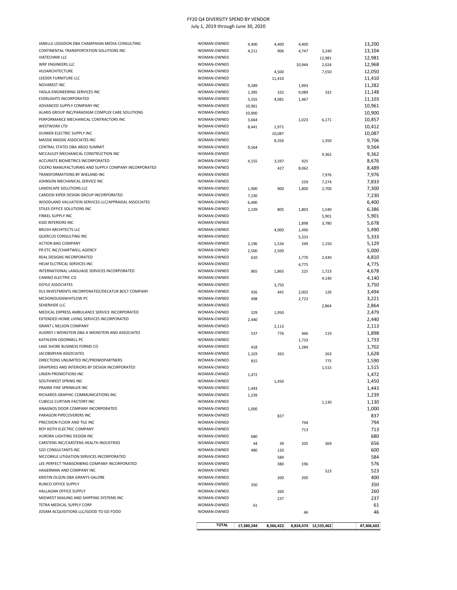| JANELLE LOGSDON DBA CHAMPAIGN MEDIA CONSULTING       | WOMAN-OWNED  | 4,400      | 4,400     | 4,400  |                      | 13,200     |
|------------------------------------------------------|--------------|------------|-----------|--------|----------------------|------------|
| CONTINENTAL TRANSPORTATION SOLUTIONS INC             | WOMAN-OWNED  | 4,211      | 906       | 4,747  | 3,240                | 13,104     |
| <b>VIATECHNIK LLC</b>                                | WOMAN-OWNED  |            |           |        | 12,981               | 12,981     |
| WRF ENGINEERS LLC                                    | WOMAN-OWNED  |            |           | 10,944 | 2,024                | 12,968     |
| HUSARCHITECTURE                                      | WOMAN-OWNED  |            | 4,500     |        | 7,550                | 12,050     |
| LEEDER FURNITURE LLC                                 | WOMAN-OWNED  |            | 11,410    |        |                      | 11,410     |
| <b>NOVAREST INC</b>                                  | WOMAN-OWNED  | 9,289      |           | 1,993  |                      | 11,282     |
| YAGLA ENGINEERING SERVICES INC                       | WOMAN-OWNED  | 1,395      | 332       | 9,089  | 332                  | 11,148     |
| <b>EVERLIGHTS INCORPORATED</b>                       | WOMAN-OWNED  | 5,555      | 4,081     | 1,467  |                      | 11,103     |
| ADVANCED SUPPLY COMPANY INC                          | WOMAN-OWNED  | 10,961     |           |        |                      | 10,961     |
| ALARIS GROUP INC/PARADIGM COMPLEX CARE SOLUTIONS     | WOMAN-OWNED  | 10,900     |           |        |                      | 10,900     |
| PERFORMANCE MECHANICAL CONTRACTORS INC               | WOMAN-OWNED  | 3,664      |           | 1,023  | 6,171                | 10,857     |
| <b>WESTWORX LTD</b>                                  | WOMAN-OWNED  | 8,441      | 1,971     |        |                      | 10,412     |
| DUNKER ELECTRIC SUPPLY INC                           | WOMAN-OWNED  |            | 10,087    |        |                      | 10,087     |
| MASSIE MASSIE ASSOCIATES INC                         | WOMAN-OWNED  |            |           |        |                      | 9,706      |
| CENTRAL STATES DBA ARGO SUMMIT                       | WOMAN-OWNED  |            | 8,356     |        | 1,350                | 9,564      |
| MCCAULEY MECHANICAL CONSTRUCTION INC                 | WOMAN-OWNED  | 9,564      |           |        |                      |            |
| ACCURATE BIOMETRICS INCORPORATED                     | WOMAN-OWNED  |            |           |        | 9,362                | 9,362      |
|                                                      |              | 4,155      | 3,597     | 925    |                      | 8,676      |
| CICERO MANUFACTURING AND SUPPLY COMPANY INCORPORATED | WOMAN-OWNED  |            | 427       | 8,062  |                      | 8,489      |
| TRANSFORMATIONS BY WIELAND INC                       | WOMAN-OWNED  |            |           |        | 7,976                | 7,976      |
| JOHNSON MECHANICAL SERVICE INC                       | WOMAN-OWNED  |            |           | 559    | 7,274                | 7,833      |
| LANDSCAPE SOLUTIONS LLC                              | WOMAN-OWNED  | 1,900      | 900       | 1,800  | 2,700                | 7,300      |
| CARDOSI KIPER DESIGN GROUP INCORPORATED              | WOMAN-OWNED  | 7,230      |           |        |                      | 7,230      |
| WOODLAND VALUATION SERVICES LLC/APPRAISAL ASSOCIATES | WOMAN-OWNED  | 6,400      |           |        |                      | 6,400      |
| STILES OFFICE SOLUTIONS INC                          | WOMAN-OWNED  | 2,239      | 805       | 1,803  | 1,540                | 6,386      |
| FINKEL SUPPLY INC                                    | WOMAN-OWNED  |            |           |        | 5,901                | 5,901      |
| <b>KSID INTERIORS INC</b>                            | WOMAN-OWNED  |            |           | 1,898  | 3,780                | 5,678      |
| <b>BRUSH ARCHITECTS LLC</b>                          | WOMAN-OWNED  |            | 4,000     | 1,490  |                      | 5,490      |
| QUERCUS CONSULTING INC                               | WOMAN-OWNED  |            |           | 5,333  |                      | 5,333      |
| <b>ACTION BAG COMPANY</b>                            | WOMAN-OWNED  | 2,196      | 1,534     | 249    | 1,150                | 5,129      |
| PR ETC INC/CHARTWELL AGENCY                          | WOMAN-OWNED  | 2,500      |           |        |                      | 5,000      |
| REAL DESIGNS INCORPORATED                            | WOMAN-OWNED  |            | 2,500     |        |                      |            |
|                                                      |              | 610        |           | 1,770  | 2,430                | 4,810      |
| HELM ELCTRICAL SERVICES INC                          | WOMAN-OWNED  |            |           | 4,775  |                      | 4,775      |
| INTERNATIONAL LANGUAGE SERVICES INCORPORATED         | WOMAN-OWNED  | 865        | 1,865     | 225    | 1,723                | 4,678      |
| CANINO ELECTRIC CO                                   | WOMAN-OWNED  |            |           |        | 4,140                | 4,140      |
| <b>DOYLE ASSOCIATES</b>                              | WOMAN-OWNED  |            | 3,750     |        |                      | 3,750      |
| DLS INVESTMENTS INCORPORATED/DECATUR BOLT COMPANY    | WOMAN-OWNED  | 926        | 441       | 2,002  | 126                  | 3,494      |
| MCDONOUGHWHITLOW PC                                  | WOMAN-OWNED  | 498        |           | 2,723  |                      | 3,221      |
| SEHERIHDE LLC                                        | WOMAN-OWNED  |            |           |        | 2,864                | 2,864      |
| MEDICAL EXPRESS AMBULANCE SERVICE INCORPORATED       | WOMAN-OWNED  | 529        | 1,950     |        |                      | 2,479      |
| EXTENDED HOME LIVING SERVICES INCORPORATED           | WOMAN-OWNED  | 2,440      |           |        |                      | 2,440      |
| <b>GRANT L NELSON COMPANY</b>                        | WOMAN-OWNED  |            | 2,113     |        |                      | 2,113      |
| AUDREY J WEINSTEIN DBA A WEINSTEIN AND ASSOCIATES    | WOMAN-OWNED  | 537        | 776       | 466    | 119                  | 1,898      |
| KATHLEEN ODONNELL PC                                 | WOMAN-OWNED  |            |           | 1,733  |                      | 1,733      |
| LAKE SHORE BUSINESS FORMS CO                         | WOMAN-OWNED  | 418        |           | 1,284  |                      | 1,702      |
| JACOBSRYAN ASSOCIATES                                | WOMAN-OWNED  | 1,103      | 263       |        | 263                  | 1,628      |
| DIRECTIONS UNLIMITED INC/PROMOPARTNERS               | WOMAN-OWNED  | 815        |           |        | 775                  | 1,590      |
| DRAPERIES AND INTERIORS BY DESIGN INCORPORATED       | WOMAN-OWNED  |            |           |        |                      | 1,515      |
| LINJEN PROMOTIONS INC                                | WOMAN-OWNED  |            |           |        | 1,515                |            |
|                                                      |              | 1,472      |           |        |                      | 1,472      |
| SOUTHWEST SPRING INC                                 | WOMAN-OWNED  |            | 1,450     |        |                      | 1,450      |
| PRAIRIE FIRE SPRINKLER INC                           | WOMAN-OWNED  | 1,443      |           |        |                      | 1,443      |
| RICHARDS GRAPHIC COMMUNICATIONS INC                  | WOMAN-OWNED  | 1,239      |           |        |                      | 1,239      |
| <b>CUBICLE CURTAIN FACTORY INC</b>                   | WOMAN-OWNED  |            |           |        | 1,130                | 1,130      |
| ANAGNOS DOOR COMPANY INCORPORATED                    | WOMAN-OWNED  | 1,000      |           |        |                      | 1,000      |
| PARAGON PIPECOVERERS INC                             | WOMAN-OWNED  |            | 837       |        |                      | 837        |
| PRECISION FLOOR AND TILE INC                         | WOMAN-OWNED  |            |           | 794    |                      | 794        |
| ROY KEITH ELECTRIC COMPANY                           | WOMAN-OWNED  |            |           | 713    |                      | 713        |
| AURORA LIGHTING DESIGN INC                           | WOMAN-OWNED  | 680        |           |        |                      | 680        |
| CARSTENS INC/CARSTENS HEALTH INDUSTRIES              | WOMAN-OWNED  | 44         | 39        | 205    | 369                  | 656        |
| <b>S2O CONSULTANTS INC</b>                           | WOMAN-OWNED  | 480        | 120       |        |                      | 600        |
| MCCORKLE LITIGATION SERVICES INCORPORATED            | WOMAN-OWNED  |            | 584       |        |                      | 584        |
| LEE-PERFECT TRANSCRIBING COMPANY INCORPORATED        | WOMAN-OWNED  |            | 380       | 196    |                      | 576        |
| HAGERMAN AND COMPANY INC                             | WOMAN-OWNED  |            |           |        | 523                  | 523        |
| KRISTIN OLSON DBA GRANTS GALORE                      | WOMAN-OWNED  |            | 200       | 200    |                      | 400        |
| RUNCO OFFICE SUPPLY                                  | WOMAN-OWNED  |            |           |        |                      |            |
| HALLAGAN OFFICE SUPPLY                               |              | 350        |           |        |                      | 350        |
|                                                      | WOMAN-OWNED  |            | 260       |        |                      | 260        |
| MIDWEST MAILING AND SHIPPING SYSTEMS INC             | WOMAN-OWNED  |            | 237       |        |                      | 237        |
| TETRA MEDICAL SUPPLY CORP                            | WOMAN-OWNED  | 61         |           |        |                      | 61         |
| JOSAM ACQUISITIONS LLC/GOOD TO GO FOOD               | WOMAN-OWNED  |            |           | 46     |                      | 46         |
|                                                      |              |            |           |        |                      |            |
|                                                      | <b>TOTAL</b> | 17,380,244 | 8,566,422 |        | 8,824,474 12,535,462 | 47,306,602 |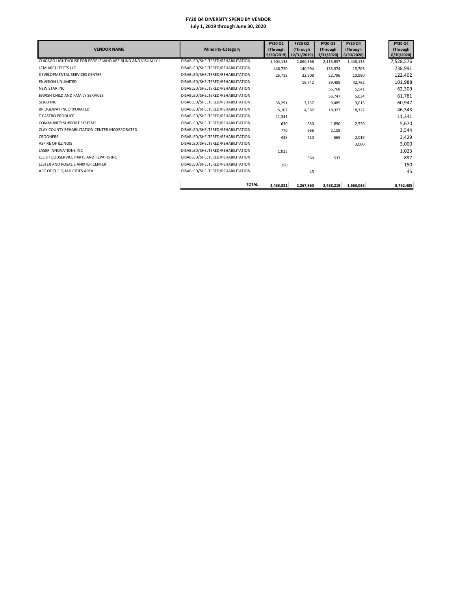| <b>VENDOR NAME</b>                                         | <b>Minority-Category</b>          | FY20 Q1<br>(Through<br>9/30/2019 | FY20 Q2<br>(Through<br>12/31/2019) | FY20 Q3<br>(Through<br>3/31/2020 | <b>FY20 Q4</b><br>(Through<br>6/30/2020 | <b>FY20 Q4</b><br>(Through<br>6/30/2020 |
|------------------------------------------------------------|-----------------------------------|----------------------------------|------------------------------------|----------------------------------|-----------------------------------------|-----------------------------------------|
| CHICAGO LIGHTHOUSE FOR PEOPLE WHO ARE BLIND AND VISUALLY I | DISABLED/SHELTERED/REHABILITATION | 1,904,138                        | 2,060,366                          | 2,115,937                        | 1,448,135                               | 7,528,576                               |
| LCM ARCHITECTS LLC                                         | DISABLED/SHELTERED/REHABILITATION | 448.720                          | 140,994                            | 133,574                          | 15,703                                  | 738,991                                 |
| DEVELOPMENTAL SERVICES CENTER                              | DISABLED/SHELTERED/REHABILITATION | 25,718                           | 32,908                             | 52,796                           | 10,980                                  | 122,402                                 |
| <b>ENVISION UNLIMITED</b>                                  | DISABLED/SHELTERED/REHABILITATION |                                  | 19,742                             | 39.485                           | 42.762                                  | 101,988                                 |
| <b>NEW STAR INC</b>                                        | DISABLED/SHELTERED/REHABILITATION |                                  |                                    | 56,768                           | 5,541                                   | 62,309                                  |
| JEWISH CHILD AND FAMILY SERVICES                           | DISABLED/SHELTERED/REHABILITATION |                                  |                                    | 56,747                           | 5,034                                   | 61,781                                  |
| SEICO INC                                                  | DISABLED/SHELTERED/REHABILITATION | 35,291                           | 7,157                              | 9,485                            | 9,015                                   | 60,947                                  |
| <b>BRIDGEWAY INCORPORATED</b>                              | DISABLED/SHELTERED/REHABILITATION | 5,107                            | 4,582                              | 18,327                           | 18,327                                  | 46,343                                  |
| <b>T CASTRO PRODUCE</b>                                    | DISABLED/SHELTERED/REHABILITATION | 11,341                           |                                    |                                  |                                         | 11,341                                  |
| <b>COMMUNITY SUPPORT SYSTEMS</b>                           | DISABLED/SHELTERED/REHABILITATION | 630                              | 630                                | 1,890                            | 2,520                                   | 5,670                                   |
| CLAY COUNTY REHABILITATION CENTER INCORPORATED             | DISABLED/SHELTERED/REHABILITATION | 770                              | 666                                | 2,108                            |                                         | 3,544                                   |
| <b>CROONERS</b>                                            | DISABLED/SHELTERED/REHABILITATION | 435                              | 410                                | 565                              | 2,019                                   | 3,429                                   |
| <b>ASPIRE OF ILLINOIS</b>                                  | DISABLED/SHELTERED/REHABILITATION |                                  |                                    |                                  | 3,000                                   | 3,000                                   |
| <b>LASER INNOVATIONS INC</b>                               | DISABLED/SHELTERED/REHABILITATION | 1,023                            |                                    |                                  |                                         | 1,023                                   |
| LEE'S FOODSERVICE PARTS AND REPAIRS INC                    | DISABLED/SHELTERED/REHABILITATION |                                  | 360                                | 537                              |                                         | 897                                     |
| LESTER AND ROSALIE ANIXTER CENTER                          | DISABLED/SHELTERED/REHABILITATION | 150                              |                                    |                                  |                                         | 150                                     |
| ARC OF THE QUAD CITIES AREA                                | DISABLED/SHELTERED/REHABILITATION |                                  | 45                                 |                                  |                                         | 45                                      |
|                                                            | <b>TOTAL</b>                      | 2,433,321                        | 2,267,860                          | 2,488,219                        | 1,563,035                               | 8,752,435                               |